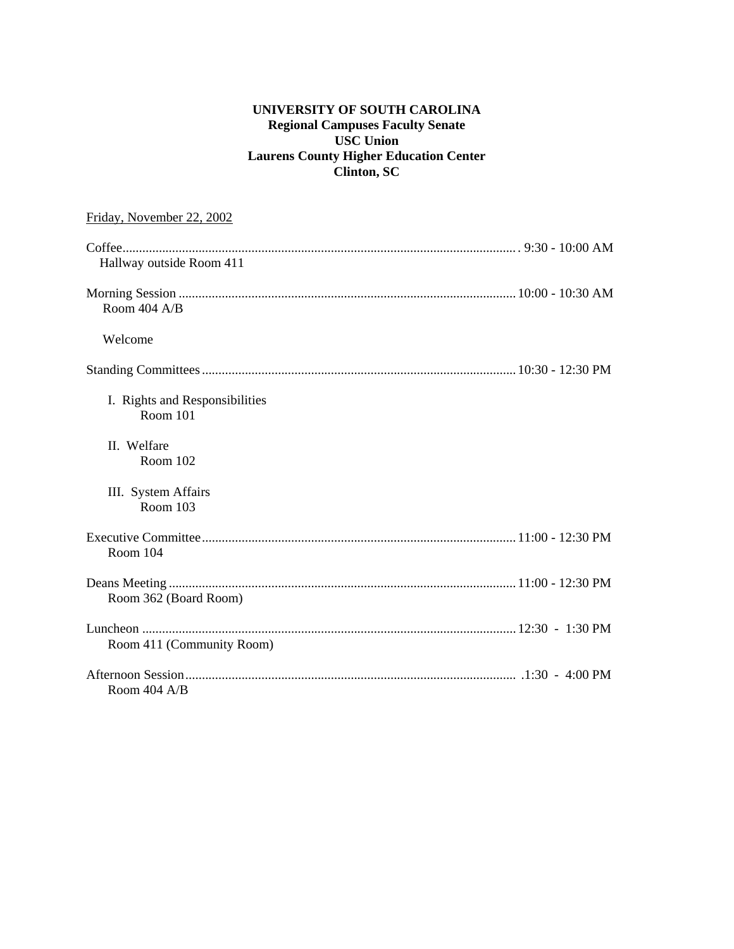# **UNIVERSITY OF SOUTH CAROLINA Regional Campuses Faculty Senate USC Union Laurens County Higher Education Center Clinton, SC**

| Friday, November 22, 2002                         |
|---------------------------------------------------|
| Hallway outside Room 411                          |
| Room 404 A/B                                      |
| Welcome                                           |
|                                                   |
| I. Rights and Responsibilities<br><b>Room 101</b> |
| II. Welfare<br>Room 102                           |
| III. System Affairs<br>Room 103                   |
| Room 104                                          |
| Room 362 (Board Room)                             |
| Room 411 (Community Room)                         |
| Room 404 A/B                                      |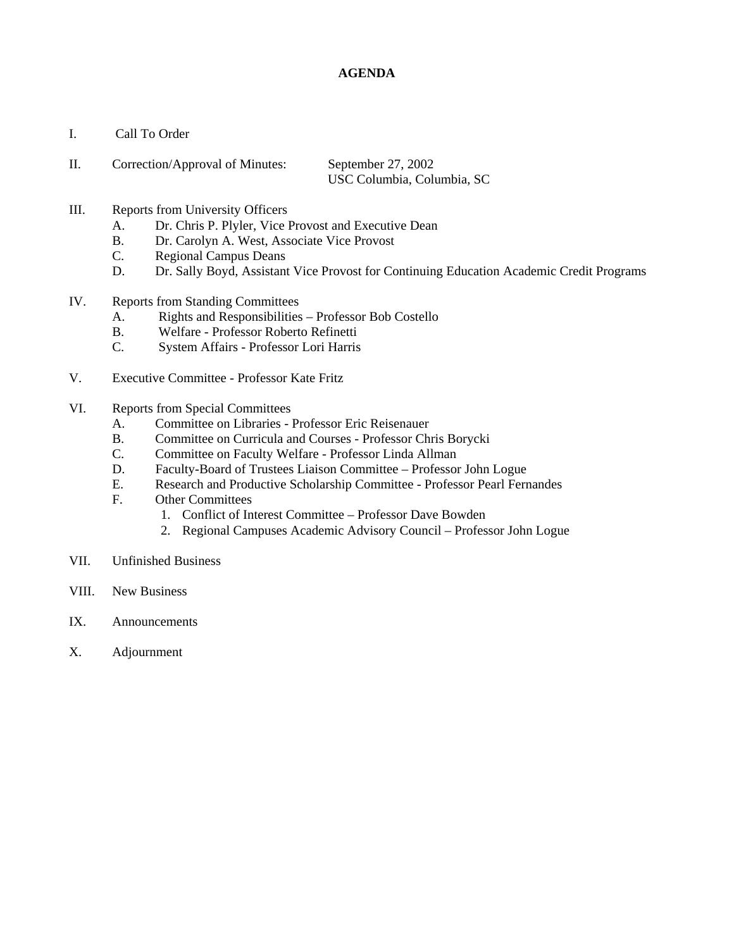## **AGENDA**

I. Call To Order

| Π. | Correction/Approval of Minutes: | September $27, 2002$       |
|----|---------------------------------|----------------------------|
|    |                                 | USC Columbia, Columbia, SC |

- III. Reports from University Officers
	- A. Dr. Chris P. Plyler, Vice Provost and Executive Dean
	- B. Dr. Carolyn A. West, Associate Vice Provost
	- C. Regional Campus Deans
	- D. Dr. Sally Boyd, Assistant Vice Provost for Continuing Education Academic Credit Programs
- IV. Reports from Standing Committees
	- A. Rights and Responsibilities Professor Bob Costello
	- B. Welfare Professor Roberto Refinetti
	- C. System Affairs Professor Lori Harris
- V. Executive Committee Professor Kate Fritz
- VI. Reports from Special Committees
	- A. Committee on Libraries Professor Eric Reisenauer
	- B. Committee on Curricula and Courses Professor Chris Borycki
	- C. Committee on Faculty Welfare Professor Linda Allman
	- D. Faculty-Board of Trustees Liaison Committee Professor John Logue
	- E. Research and Productive Scholarship Committee Professor Pearl Fernandes
	- F. Other Committees
		- 1. Conflict of Interest Committee Professor Dave Bowden
		- 2. Regional Campuses Academic Advisory Council Professor John Logue
- VII. Unfinished Business
- VIII. New Business
- IX. Announcements
- X. Adjournment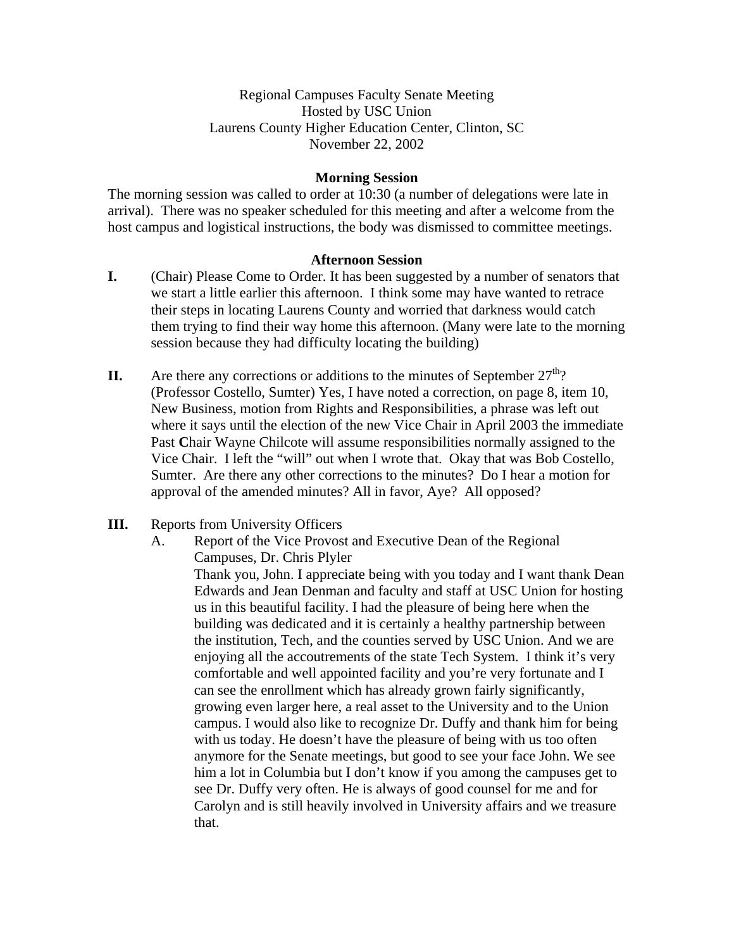# Regional Campuses Faculty Senate Meeting Hosted by USC Union Laurens County Higher Education Center, Clinton, SC November 22, 2002

## **Morning Session**

The morning session was called to order at 10:30 (a number of delegations were late in arrival). There was no speaker scheduled for this meeting and after a welcome from the host campus and logistical instructions, the body was dismissed to committee meetings.

## **Afternoon Session**

- **I.** (Chair) Please Come to Order. It has been suggested by a number of senators that we start a little earlier this afternoon. I think some may have wanted to retrace their steps in locating Laurens County and worried that darkness would catch them trying to find their way home this afternoon. (Many were late to the morning session because they had difficulty locating the building)
- **II.** Are there any corrections or additions to the minutes of September  $27<sup>th</sup>$ ? (Professor Costello, Sumter) Yes, I have noted a correction, on page 8, item 10, New Business, motion from Rights and Responsibilities, a phrase was left out where it says until the election of the new Vice Chair in April 2003 the immediate Past **C**hair Wayne Chilcote will assume responsibilities normally assigned to the Vice Chair. I left the "will" out when I wrote that. Okay that was Bob Costello, Sumter. Are there any other corrections to the minutes? Do I hear a motion for approval of the amended minutes? All in favor, Aye? All opposed?

## **III.** Reports from University Officers

A. Report of the Vice Provost and Executive Dean of the Regional Campuses, Dr. Chris Plyler

Thank you, John. I appreciate being with you today and I want thank Dean Edwards and Jean Denman and faculty and staff at USC Union for hosting us in this beautiful facility. I had the pleasure of being here when the building was dedicated and it is certainly a healthy partnership between the institution, Tech, and the counties served by USC Union. And we are enjoying all the accoutrements of the state Tech System. I think it's very comfortable and well appointed facility and you're very fortunate and I can see the enrollment which has already grown fairly significantly, growing even larger here, a real asset to the University and to the Union campus. I would also like to recognize Dr. Duffy and thank him for being with us today. He doesn't have the pleasure of being with us too often anymore for the Senate meetings, but good to see your face John. We see him a lot in Columbia but I don't know if you among the campuses get to see Dr. Duffy very often. He is always of good counsel for me and for Carolyn and is still heavily involved in University affairs and we treasure that.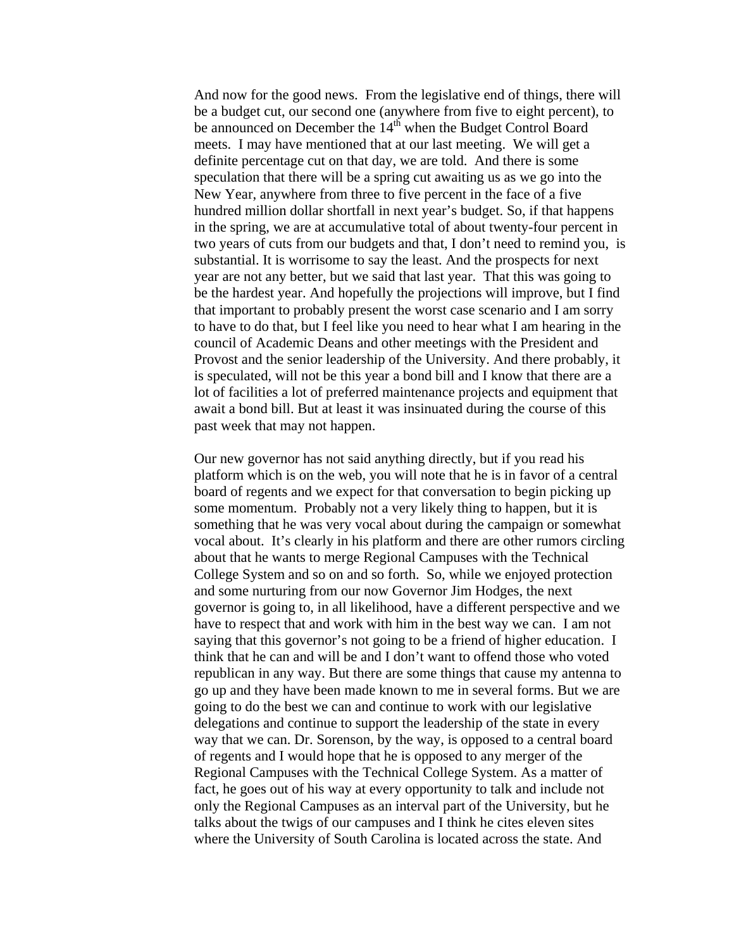And now for the good news. From the legislative end of things, there will be a budget cut, our second one (anywhere from five to eight percent), to be announced on December the 14<sup>th</sup> when the Budget Control Board meets. I may have mentioned that at our last meeting. We will get a definite percentage cut on that day, we are told. And there is some speculation that there will be a spring cut awaiting us as we go into the New Year, anywhere from three to five percent in the face of a five hundred million dollar shortfall in next year's budget. So, if that happens in the spring, we are at accumulative total of about twenty-four percent in two years of cuts from our budgets and that, I don't need to remind you, is substantial. It is worrisome to say the least. And the prospects for next year are not any better, but we said that last year. That this was going to be the hardest year. And hopefully the projections will improve, but I find that important to probably present the worst case scenario and I am sorry to have to do that, but I feel like you need to hear what I am hearing in the council of Academic Deans and other meetings with the President and Provost and the senior leadership of the University. And there probably, it is speculated, will not be this year a bond bill and I know that there are a lot of facilities a lot of preferred maintenance projects and equipment that await a bond bill. But at least it was insinuated during the course of this past week that may not happen.

Our new governor has not said anything directly, but if you read his platform which is on the web, you will note that he is in favor of a central board of regents and we expect for that conversation to begin picking up some momentum. Probably not a very likely thing to happen, but it is something that he was very vocal about during the campaign or somewhat vocal about. It's clearly in his platform and there are other rumors circling about that he wants to merge Regional Campuses with the Technical College System and so on and so forth. So, while we enjoyed protection and some nurturing from our now Governor Jim Hodges, the next governor is going to, in all likelihood, have a different perspective and we have to respect that and work with him in the best way we can. I am not saying that this governor's not going to be a friend of higher education. I think that he can and will be and I don't want to offend those who voted republican in any way. But there are some things that cause my antenna to go up and they have been made known to me in several forms. But we are going to do the best we can and continue to work with our legislative delegations and continue to support the leadership of the state in every way that we can. Dr. Sorenson, by the way, is opposed to a central board of regents and I would hope that he is opposed to any merger of the Regional Campuses with the Technical College System. As a matter of fact, he goes out of his way at every opportunity to talk and include not only the Regional Campuses as an interval part of the University, but he talks about the twigs of our campuses and I think he cites eleven sites where the University of South Carolina is located across the state. And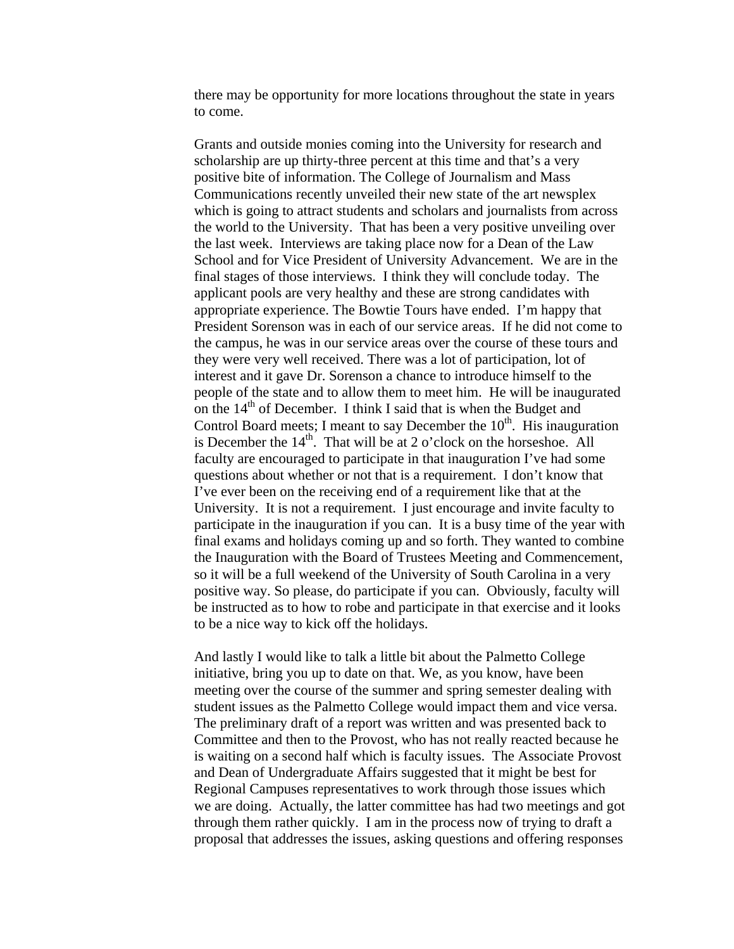there may be opportunity for more locations throughout the state in years to come.

Grants and outside monies coming into the University for research and scholarship are up thirty-three percent at this time and that's a very positive bite of information. The College of Journalism and Mass Communications recently unveiled their new state of the art newsplex which is going to attract students and scholars and journalists from across the world to the University. That has been a very positive unveiling over the last week. Interviews are taking place now for a Dean of the Law School and for Vice President of University Advancement. We are in the final stages of those interviews. I think they will conclude today. The applicant pools are very healthy and these are strong candidates with appropriate experience. The Bowtie Tours have ended. I'm happy that President Sorenson was in each of our service areas. If he did not come to the campus, he was in our service areas over the course of these tours and they were very well received. There was a lot of participation, lot of interest and it gave Dr. Sorenson a chance to introduce himself to the people of the state and to allow them to meet him. He will be inaugurated on the  $14<sup>th</sup>$  of December. I think I said that is when the Budget and Control Board meets; I meant to say December the  $10<sup>th</sup>$ . His inauguration is December the  $14<sup>th</sup>$ . That will be at 2 o'clock on the horseshoe. All faculty are encouraged to participate in that inauguration I've had some questions about whether or not that is a requirement. I don't know that I've ever been on the receiving end of a requirement like that at the University. It is not a requirement. I just encourage and invite faculty to participate in the inauguration if you can. It is a busy time of the year with final exams and holidays coming up and so forth. They wanted to combine the Inauguration with the Board of Trustees Meeting and Commencement, so it will be a full weekend of the University of South Carolina in a very positive way. So please, do participate if you can. Obviously, faculty will be instructed as to how to robe and participate in that exercise and it looks to be a nice way to kick off the holidays.

And lastly I would like to talk a little bit about the Palmetto College initiative, bring you up to date on that. We, as you know, have been meeting over the course of the summer and spring semester dealing with student issues as the Palmetto College would impact them and vice versa. The preliminary draft of a report was written and was presented back to Committee and then to the Provost, who has not really reacted because he is waiting on a second half which is faculty issues. The Associate Provost and Dean of Undergraduate Affairs suggested that it might be best for Regional Campuses representatives to work through those issues which we are doing. Actually, the latter committee has had two meetings and got through them rather quickly. I am in the process now of trying to draft a proposal that addresses the issues, asking questions and offering responses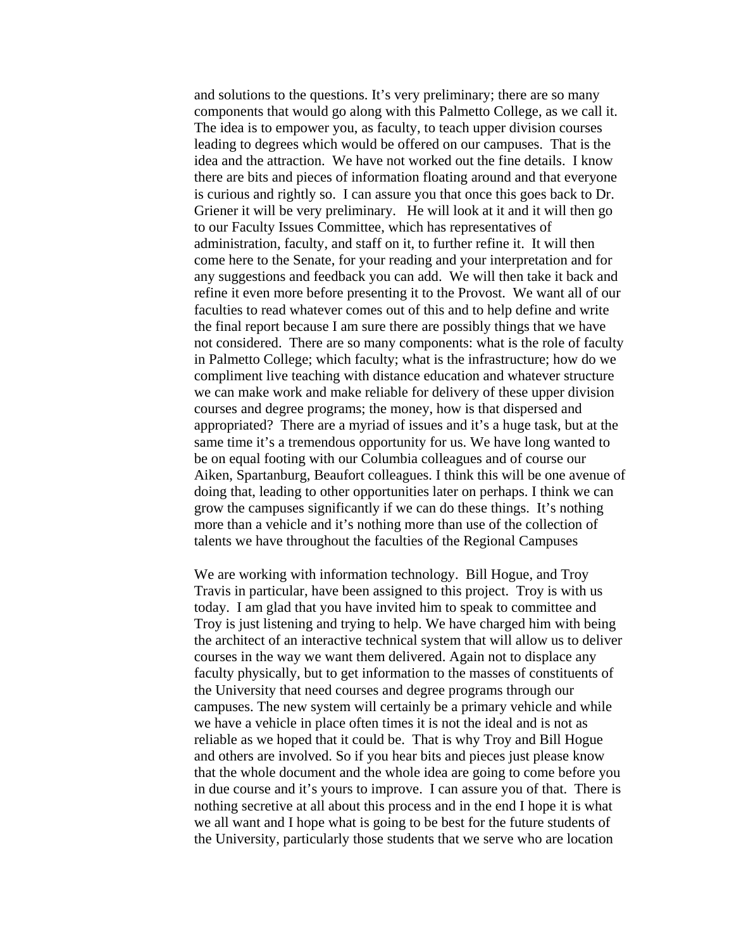and solutions to the questions. It's very preliminary; there are so many components that would go along with this Palmetto College, as we call it. The idea is to empower you, as faculty, to teach upper division courses leading to degrees which would be offered on our campuses. That is the idea and the attraction. We have not worked out the fine details. I know there are bits and pieces of information floating around and that everyone is curious and rightly so. I can assure you that once this goes back to Dr. Griener it will be very preliminary. He will look at it and it will then go to our Faculty Issues Committee, which has representatives of administration, faculty, and staff on it, to further refine it. It will then come here to the Senate, for your reading and your interpretation and for any suggestions and feedback you can add. We will then take it back and refine it even more before presenting it to the Provost. We want all of our faculties to read whatever comes out of this and to help define and write the final report because I am sure there are possibly things that we have not considered. There are so many components: what is the role of faculty in Palmetto College; which faculty; what is the infrastructure; how do we compliment live teaching with distance education and whatever structure we can make work and make reliable for delivery of these upper division courses and degree programs; the money, how is that dispersed and appropriated? There are a myriad of issues and it's a huge task, but at the same time it's a tremendous opportunity for us. We have long wanted to be on equal footing with our Columbia colleagues and of course our Aiken, Spartanburg, Beaufort colleagues. I think this will be one avenue of doing that, leading to other opportunities later on perhaps. I think we can grow the campuses significantly if we can do these things. It's nothing more than a vehicle and it's nothing more than use of the collection of talents we have throughout the faculties of the Regional Campuses

We are working with information technology. Bill Hogue, and Troy Travis in particular, have been assigned to this project. Troy is with us today. I am glad that you have invited him to speak to committee and Troy is just listening and trying to help. We have charged him with being the architect of an interactive technical system that will allow us to deliver courses in the way we want them delivered. Again not to displace any faculty physically, but to get information to the masses of constituents of the University that need courses and degree programs through our campuses. The new system will certainly be a primary vehicle and while we have a vehicle in place often times it is not the ideal and is not as reliable as we hoped that it could be. That is why Troy and Bill Hogue and others are involved. So if you hear bits and pieces just please know that the whole document and the whole idea are going to come before you in due course and it's yours to improve. I can assure you of that. There is nothing secretive at all about this process and in the end I hope it is what we all want and I hope what is going to be best for the future students of the University, particularly those students that we serve who are location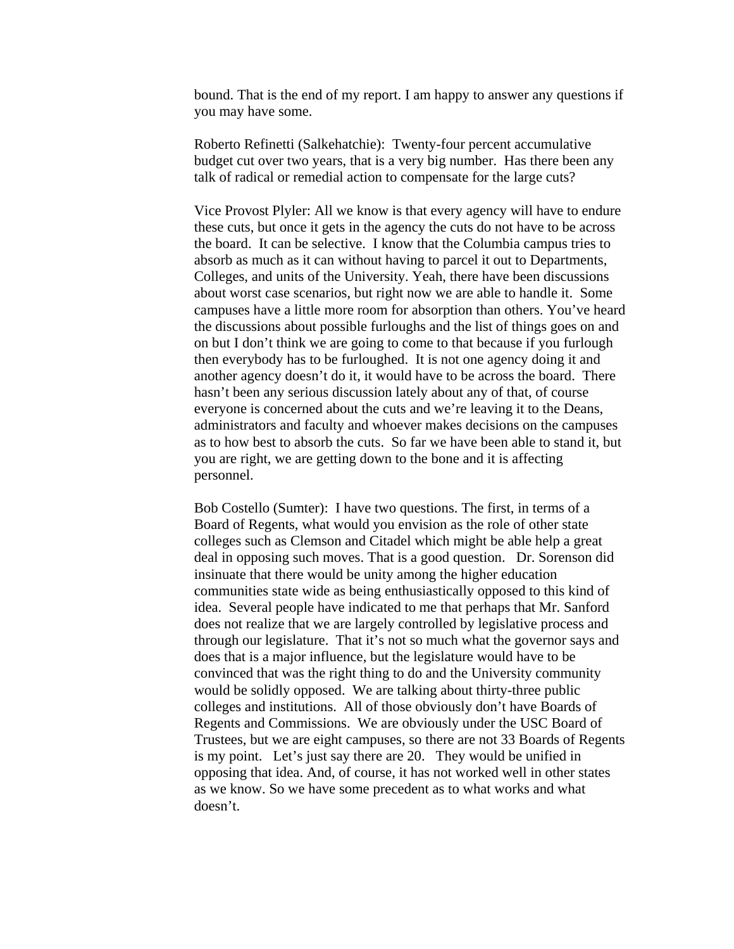bound. That is the end of my report. I am happy to answer any questions if you may have some.

Roberto Refinetti (Salkehatchie): Twenty-four percent accumulative budget cut over two years, that is a very big number. Has there been any talk of radical or remedial action to compensate for the large cuts?

Vice Provost Plyler: All we know is that every agency will have to endure these cuts, but once it gets in the agency the cuts do not have to be across the board. It can be selective. I know that the Columbia campus tries to absorb as much as it can without having to parcel it out to Departments, Colleges, and units of the University. Yeah, there have been discussions about worst case scenarios, but right now we are able to handle it. Some campuses have a little more room for absorption than others. You've heard the discussions about possible furloughs and the list of things goes on and on but I don't think we are going to come to that because if you furlough then everybody has to be furloughed. It is not one agency doing it and another agency doesn't do it, it would have to be across the board. There hasn't been any serious discussion lately about any of that, of course everyone is concerned about the cuts and we're leaving it to the Deans, administrators and faculty and whoever makes decisions on the campuses as to how best to absorb the cuts. So far we have been able to stand it, but you are right, we are getting down to the bone and it is affecting personnel.

Bob Costello (Sumter): I have two questions. The first, in terms of a Board of Regents, what would you envision as the role of other state colleges such as Clemson and Citadel which might be able help a great deal in opposing such moves. That is a good question. Dr. Sorenson did insinuate that there would be unity among the higher education communities state wide as being enthusiastically opposed to this kind of idea. Several people have indicated to me that perhaps that Mr. Sanford does not realize that we are largely controlled by legislative process and through our legislature. That it's not so much what the governor says and does that is a major influence, but the legislature would have to be convinced that was the right thing to do and the University community would be solidly opposed. We are talking about thirty-three public colleges and institutions. All of those obviously don't have Boards of Regents and Commissions. We are obviously under the USC Board of Trustees, but we are eight campuses, so there are not 33 Boards of Regents is my point. Let's just say there are 20. They would be unified in opposing that idea. And, of course, it has not worked well in other states as we know. So we have some precedent as to what works and what doesn't.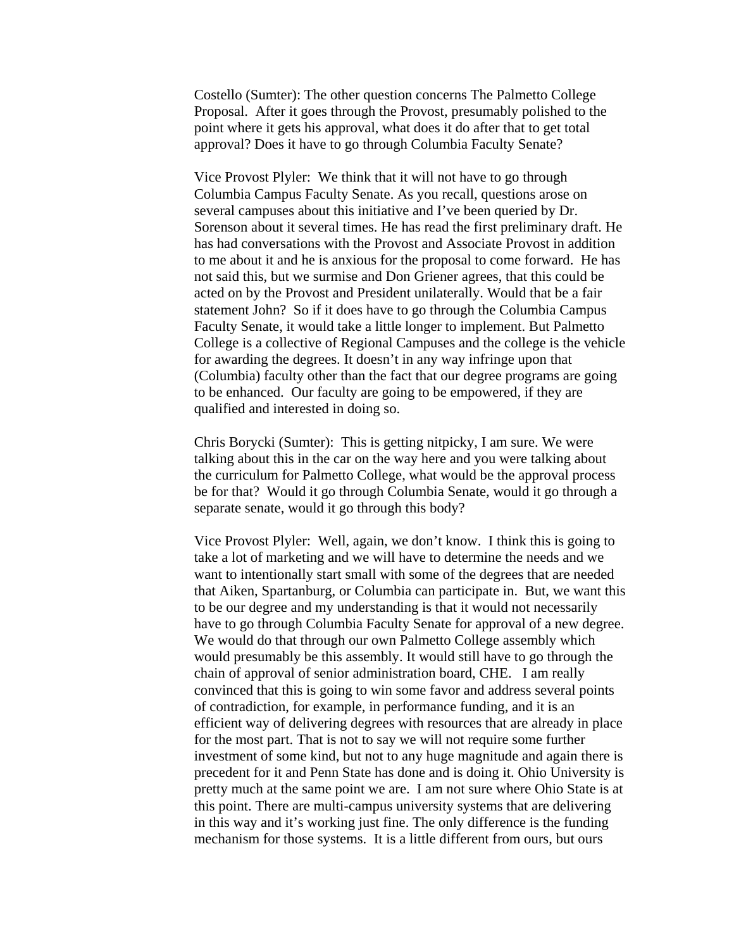Costello (Sumter): The other question concerns The Palmetto College Proposal. After it goes through the Provost, presumably polished to the point where it gets his approval, what does it do after that to get total approval? Does it have to go through Columbia Faculty Senate?

Vice Provost Plyler: We think that it will not have to go through Columbia Campus Faculty Senate. As you recall, questions arose on several campuses about this initiative and I've been queried by Dr. Sorenson about it several times. He has read the first preliminary draft. He has had conversations with the Provost and Associate Provost in addition to me about it and he is anxious for the proposal to come forward. He has not said this, but we surmise and Don Griener agrees, that this could be acted on by the Provost and President unilaterally. Would that be a fair statement John? So if it does have to go through the Columbia Campus Faculty Senate, it would take a little longer to implement. But Palmetto College is a collective of Regional Campuses and the college is the vehicle for awarding the degrees. It doesn't in any way infringe upon that (Columbia) faculty other than the fact that our degree programs are going to be enhanced. Our faculty are going to be empowered, if they are qualified and interested in doing so.

Chris Borycki (Sumter): This is getting nitpicky, I am sure. We were talking about this in the car on the way here and you were talking about the curriculum for Palmetto College, what would be the approval process be for that? Would it go through Columbia Senate, would it go through a separate senate, would it go through this body?

Vice Provost Plyler: Well, again, we don't know. I think this is going to take a lot of marketing and we will have to determine the needs and we want to intentionally start small with some of the degrees that are needed that Aiken, Spartanburg, or Columbia can participate in. But, we want this to be our degree and my understanding is that it would not necessarily have to go through Columbia Faculty Senate for approval of a new degree. We would do that through our own Palmetto College assembly which would presumably be this assembly. It would still have to go through the chain of approval of senior administration board, CHE. I am really convinced that this is going to win some favor and address several points of contradiction, for example, in performance funding, and it is an efficient way of delivering degrees with resources that are already in place for the most part. That is not to say we will not require some further investment of some kind, but not to any huge magnitude and again there is precedent for it and Penn State has done and is doing it. Ohio University is pretty much at the same point we are. I am not sure where Ohio State is at this point. There are multi-campus university systems that are delivering in this way and it's working just fine. The only difference is the funding mechanism for those systems. It is a little different from ours, but ours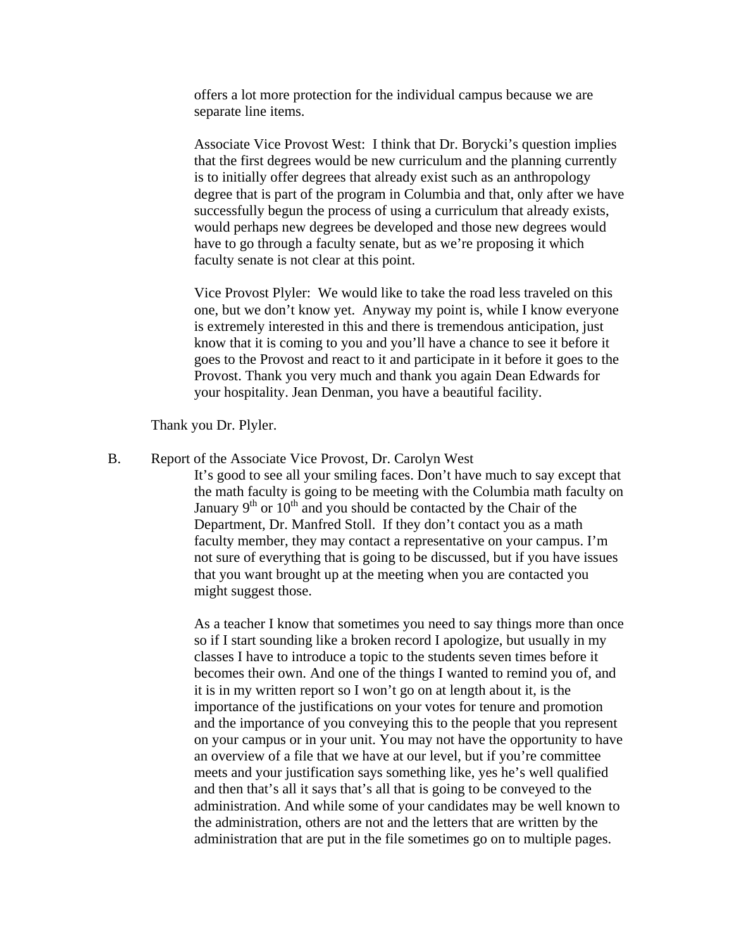offers a lot more protection for the individual campus because we are separate line items.

Associate Vice Provost West: I think that Dr. Borycki's question implies that the first degrees would be new curriculum and the planning currently is to initially offer degrees that already exist such as an anthropology degree that is part of the program in Columbia and that, only after we have successfully begun the process of using a curriculum that already exists, would perhaps new degrees be developed and those new degrees would have to go through a faculty senate, but as we're proposing it which faculty senate is not clear at this point.

Vice Provost Plyler: We would like to take the road less traveled on this one, but we don't know yet. Anyway my point is, while I know everyone is extremely interested in this and there is tremendous anticipation, just know that it is coming to you and you'll have a chance to see it before it goes to the Provost and react to it and participate in it before it goes to the Provost. Thank you very much and thank you again Dean Edwards for your hospitality. Jean Denman, you have a beautiful facility.

Thank you Dr. Plyler.

B. Report of the Associate Vice Provost, Dr. Carolyn West

It's good to see all your smiling faces. Don't have much to say except that the math faculty is going to be meeting with the Columbia math faculty on January  $9<sup>th</sup>$  or  $10<sup>th</sup>$  and you should be contacted by the Chair of the Department, Dr. Manfred Stoll. If they don't contact you as a math faculty member, they may contact a representative on your campus. I'm not sure of everything that is going to be discussed, but if you have issues that you want brought up at the meeting when you are contacted you might suggest those.

As a teacher I know that sometimes you need to say things more than once so if I start sounding like a broken record I apologize, but usually in my classes I have to introduce a topic to the students seven times before it becomes their own. And one of the things I wanted to remind you of, and it is in my written report so I won't go on at length about it, is the importance of the justifications on your votes for tenure and promotion and the importance of you conveying this to the people that you represent on your campus or in your unit. You may not have the opportunity to have an overview of a file that we have at our level, but if you're committee meets and your justification says something like, yes he's well qualified and then that's all it says that's all that is going to be conveyed to the administration. And while some of your candidates may be well known to the administration, others are not and the letters that are written by the administration that are put in the file sometimes go on to multiple pages.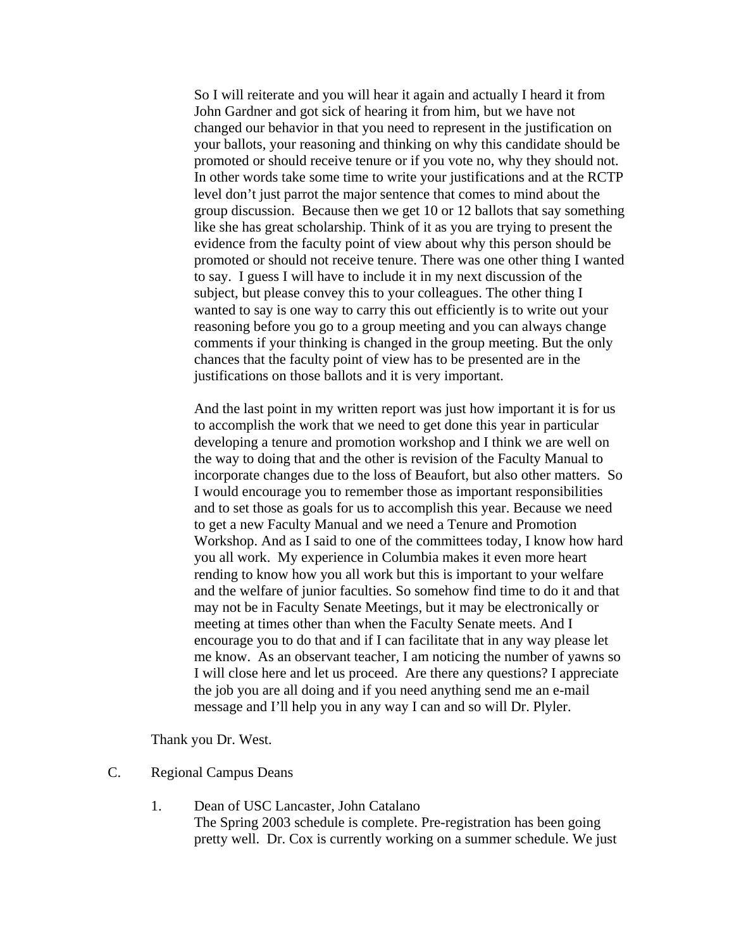So I will reiterate and you will hear it again and actually I heard it from John Gardner and got sick of hearing it from him, but we have not changed our behavior in that you need to represent in the justification on your ballots, your reasoning and thinking on why this candidate should be promoted or should receive tenure or if you vote no, why they should not. In other words take some time to write your justifications and at the RCTP level don't just parrot the major sentence that comes to mind about the group discussion. Because then we get 10 or 12 ballots that say something like she has great scholarship. Think of it as you are trying to present the evidence from the faculty point of view about why this person should be promoted or should not receive tenure. There was one other thing I wanted to say. I guess I will have to include it in my next discussion of the subject, but please convey this to your colleagues. The other thing I wanted to say is one way to carry this out efficiently is to write out your reasoning before you go to a group meeting and you can always change comments if your thinking is changed in the group meeting. But the only chances that the faculty point of view has to be presented are in the justifications on those ballots and it is very important.

And the last point in my written report was just how important it is for us to accomplish the work that we need to get done this year in particular developing a tenure and promotion workshop and I think we are well on the way to doing that and the other is revision of the Faculty Manual to incorporate changes due to the loss of Beaufort, but also other matters. So I would encourage you to remember those as important responsibilities and to set those as goals for us to accomplish this year. Because we need to get a new Faculty Manual and we need a Tenure and Promotion Workshop. And as I said to one of the committees today, I know how hard you all work. My experience in Columbia makes it even more heart rending to know how you all work but this is important to your welfare and the welfare of junior faculties. So somehow find time to do it and that may not be in Faculty Senate Meetings, but it may be electronically or meeting at times other than when the Faculty Senate meets. And I encourage you to do that and if I can facilitate that in any way please let me know. As an observant teacher, I am noticing the number of yawns so I will close here and let us proceed. Are there any questions? I appreciate the job you are all doing and if you need anything send me an e-mail message and I'll help you in any way I can and so will Dr. Plyler.

Thank you Dr. West.

- C. Regional Campus Deans
	- 1. Dean of USC Lancaster, John Catalano The Spring 2003 schedule is complete. Pre-registration has been going pretty well. Dr. Cox is currently working on a summer schedule. We just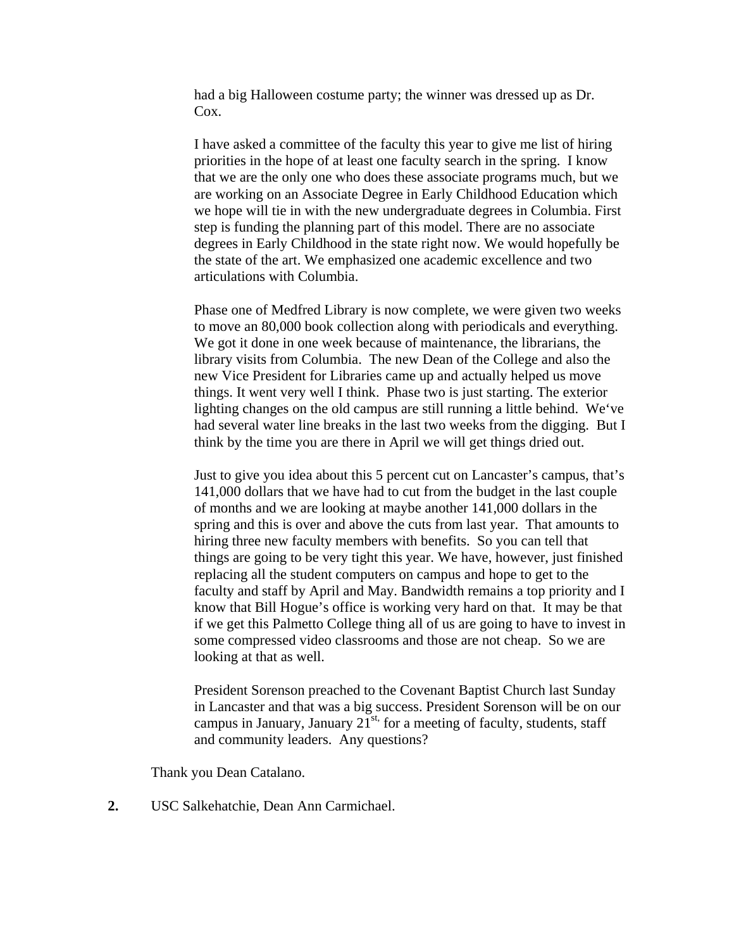had a big Halloween costume party; the winner was dressed up as Dr. Cox.

I have asked a committee of the faculty this year to give me list of hiring priorities in the hope of at least one faculty search in the spring. I know that we are the only one who does these associate programs much, but we are working on an Associate Degree in Early Childhood Education which we hope will tie in with the new undergraduate degrees in Columbia. First step is funding the planning part of this model. There are no associate degrees in Early Childhood in the state right now. We would hopefully be the state of the art. We emphasized one academic excellence and two articulations with Columbia.

Phase one of Medfred Library is now complete, we were given two weeks to move an 80,000 book collection along with periodicals and everything. We got it done in one week because of maintenance, the librarians, the library visits from Columbia. The new Dean of the College and also the new Vice President for Libraries came up and actually helped us move things. It went very well I think. Phase two is just starting. The exterior lighting changes on the old campus are still running a little behind. We've had several water line breaks in the last two weeks from the digging. But I think by the time you are there in April we will get things dried out.

Just to give you idea about this 5 percent cut on Lancaster's campus, that's 141,000 dollars that we have had to cut from the budget in the last couple of months and we are looking at maybe another 141,000 dollars in the spring and this is over and above the cuts from last year. That amounts to hiring three new faculty members with benefits. So you can tell that things are going to be very tight this year. We have, however, just finished replacing all the student computers on campus and hope to get to the faculty and staff by April and May. Bandwidth remains a top priority and I know that Bill Hogue's office is working very hard on that. It may be that if we get this Palmetto College thing all of us are going to have to invest in some compressed video classrooms and those are not cheap. So we are looking at that as well.

President Sorenson preached to the Covenant Baptist Church last Sunday in Lancaster and that was a big success. President Sorenson will be on our campus in January, January  $21^{st}$  for a meeting of faculty, students, staff and community leaders. Any questions?

Thank you Dean Catalano.

**2.** USC Salkehatchie, Dean Ann Carmichael.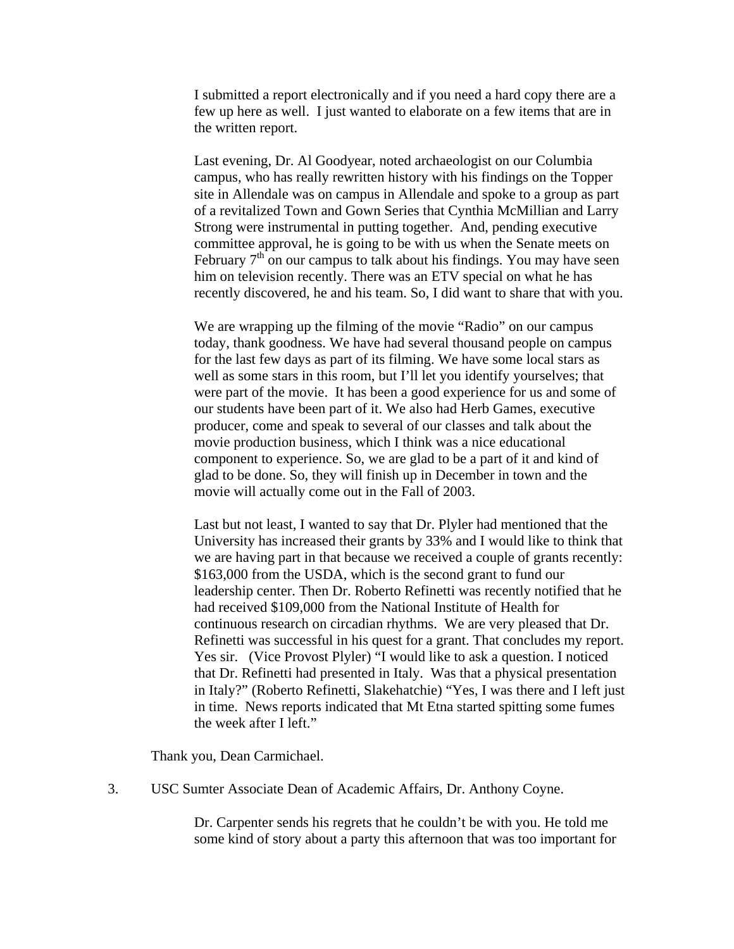I submitted a report electronically and if you need a hard copy there are a few up here as well. I just wanted to elaborate on a few items that are in the written report.

Last evening, Dr. Al Goodyear, noted archaeologist on our Columbia campus, who has really rewritten history with his findings on the Topper site in Allendale was on campus in Allendale and spoke to a group as part of a revitalized Town and Gown Series that Cynthia McMillian and Larry Strong were instrumental in putting together. And, pending executive committee approval, he is going to be with us when the Senate meets on February  $7<sup>th</sup>$  on our campus to talk about his findings. You may have seen him on television recently. There was an ETV special on what he has recently discovered, he and his team. So, I did want to share that with you.

We are wrapping up the filming of the movie "Radio" on our campus today, thank goodness. We have had several thousand people on campus for the last few days as part of its filming. We have some local stars as well as some stars in this room, but I'll let you identify yourselves; that were part of the movie. It has been a good experience for us and some of our students have been part of it. We also had Herb Games, executive producer, come and speak to several of our classes and talk about the movie production business, which I think was a nice educational component to experience. So, we are glad to be a part of it and kind of glad to be done. So, they will finish up in December in town and the movie will actually come out in the Fall of 2003.

Last but not least, I wanted to say that Dr. Plyler had mentioned that the University has increased their grants by 33% and I would like to think that we are having part in that because we received a couple of grants recently: \$163,000 from the USDA, which is the second grant to fund our leadership center. Then Dr. Roberto Refinetti was recently notified that he had received \$109,000 from the National Institute of Health for continuous research on circadian rhythms. We are very pleased that Dr. Refinetti was successful in his quest for a grant. That concludes my report. Yes sir. (Vice Provost Plyler) "I would like to ask a question. I noticed that Dr. Refinetti had presented in Italy. Was that a physical presentation in Italy?" (Roberto Refinetti, Slakehatchie) "Yes, I was there and I left just in time. News reports indicated that Mt Etna started spitting some fumes the week after I left."

Thank you, Dean Carmichael.

3. USC Sumter Associate Dean of Academic Affairs, Dr. Anthony Coyne.

Dr. Carpenter sends his regrets that he couldn't be with you. He told me some kind of story about a party this afternoon that was too important for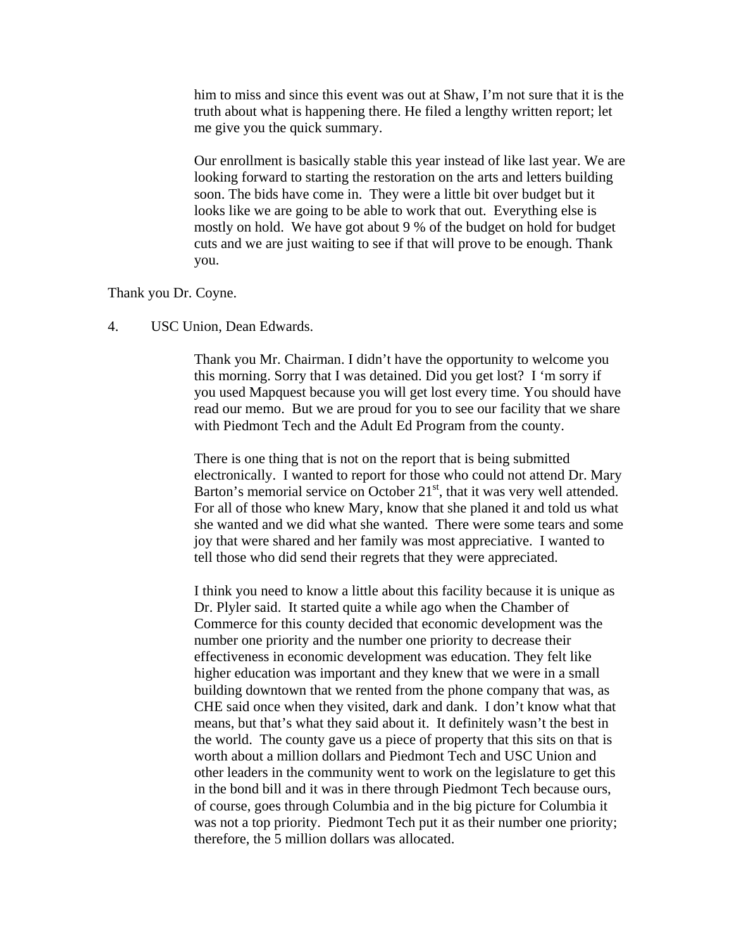him to miss and since this event was out at Shaw, I'm not sure that it is the truth about what is happening there. He filed a lengthy written report; let me give you the quick summary.

Our enrollment is basically stable this year instead of like last year. We are looking forward to starting the restoration on the arts and letters building soon. The bids have come in. They were a little bit over budget but it looks like we are going to be able to work that out. Everything else is mostly on hold. We have got about 9 % of the budget on hold for budget cuts and we are just waiting to see if that will prove to be enough. Thank you.

#### Thank you Dr. Coyne.

#### 4. USC Union, Dean Edwards.

Thank you Mr. Chairman. I didn't have the opportunity to welcome you this morning. Sorry that I was detained. Did you get lost? I 'm sorry if you used Mapquest because you will get lost every time. You should have read our memo. But we are proud for you to see our facility that we share with Piedmont Tech and the Adult Ed Program from the county.

There is one thing that is not on the report that is being submitted electronically. I wanted to report for those who could not attend Dr. Mary Barton's memorial service on October  $21<sup>st</sup>$ , that it was very well attended. For all of those who knew Mary, know that she planed it and told us what she wanted and we did what she wanted. There were some tears and some joy that were shared and her family was most appreciative. I wanted to tell those who did send their regrets that they were appreciated.

I think you need to know a little about this facility because it is unique as Dr. Plyler said. It started quite a while ago when the Chamber of Commerce for this county decided that economic development was the number one priority and the number one priority to decrease their effectiveness in economic development was education. They felt like higher education was important and they knew that we were in a small building downtown that we rented from the phone company that was, as CHE said once when they visited, dark and dank. I don't know what that means, but that's what they said about it. It definitely wasn't the best in the world. The county gave us a piece of property that this sits on that is worth about a million dollars and Piedmont Tech and USC Union and other leaders in the community went to work on the legislature to get this in the bond bill and it was in there through Piedmont Tech because ours, of course, goes through Columbia and in the big picture for Columbia it was not a top priority. Piedmont Tech put it as their number one priority; therefore, the 5 million dollars was allocated.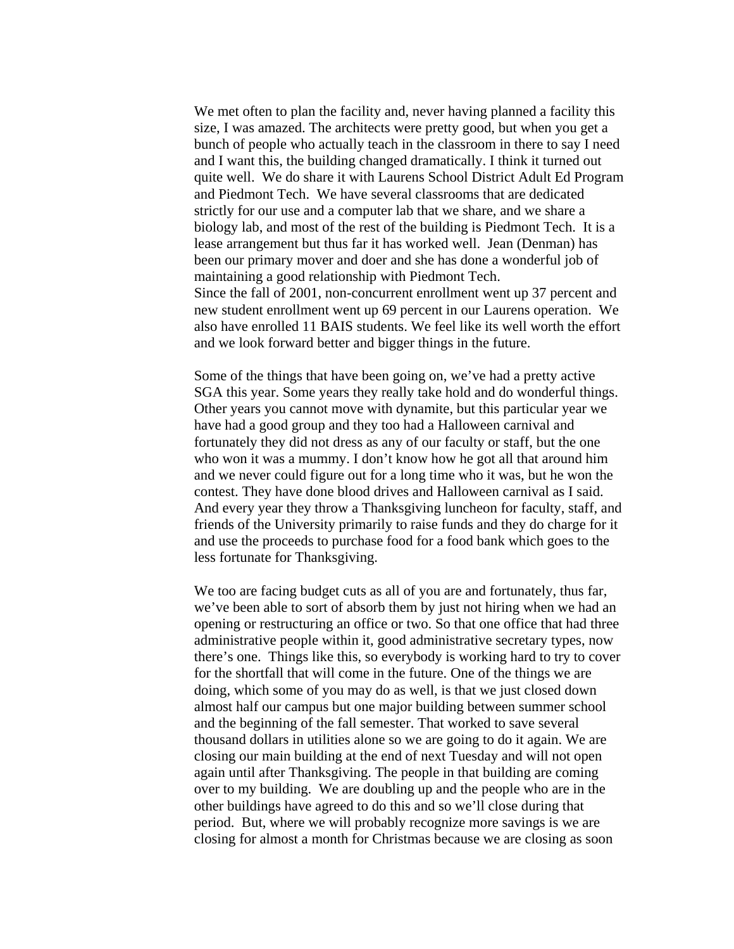We met often to plan the facility and, never having planned a facility this size, I was amazed. The architects were pretty good, but when you get a bunch of people who actually teach in the classroom in there to say I need and I want this, the building changed dramatically. I think it turned out quite well. We do share it with Laurens School District Adult Ed Program and Piedmont Tech. We have several classrooms that are dedicated strictly for our use and a computer lab that we share, and we share a biology lab, and most of the rest of the building is Piedmont Tech. It is a lease arrangement but thus far it has worked well. Jean (Denman) has been our primary mover and doer and she has done a wonderful job of maintaining a good relationship with Piedmont Tech. Since the fall of 2001, non-concurrent enrollment went up 37 percent and new student enrollment went up 69 percent in our Laurens operation. We also have enrolled 11 BAIS students. We feel like its well worth the effort and we look forward better and bigger things in the future.

Some of the things that have been going on, we've had a pretty active SGA this year. Some years they really take hold and do wonderful things. Other years you cannot move with dynamite, but this particular year we have had a good group and they too had a Halloween carnival and fortunately they did not dress as any of our faculty or staff, but the one who won it was a mummy. I don't know how he got all that around him and we never could figure out for a long time who it was, but he won the contest. They have done blood drives and Halloween carnival as I said. And every year they throw a Thanksgiving luncheon for faculty, staff, and friends of the University primarily to raise funds and they do charge for it and use the proceeds to purchase food for a food bank which goes to the less fortunate for Thanksgiving.

We too are facing budget cuts as all of you are and fortunately, thus far, we've been able to sort of absorb them by just not hiring when we had an opening or restructuring an office or two. So that one office that had three administrative people within it, good administrative secretary types, now there's one. Things like this, so everybody is working hard to try to cover for the shortfall that will come in the future. One of the things we are doing, which some of you may do as well, is that we just closed down almost half our campus but one major building between summer school and the beginning of the fall semester. That worked to save several thousand dollars in utilities alone so we are going to do it again. We are closing our main building at the end of next Tuesday and will not open again until after Thanksgiving. The people in that building are coming over to my building. We are doubling up and the people who are in the other buildings have agreed to do this and so we'll close during that period. But, where we will probably recognize more savings is we are closing for almost a month for Christmas because we are closing as soon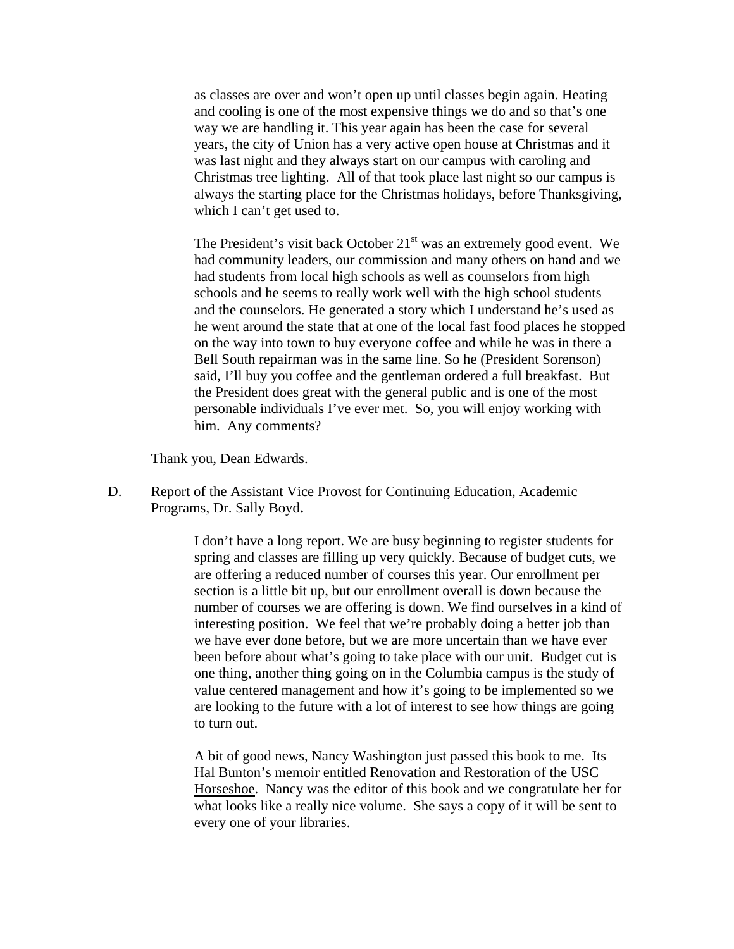as classes are over and won't open up until classes begin again. Heating and cooling is one of the most expensive things we do and so that's one way we are handling it. This year again has been the case for several years, the city of Union has a very active open house at Christmas and it was last night and they always start on our campus with caroling and Christmas tree lighting. All of that took place last night so our campus is always the starting place for the Christmas holidays, before Thanksgiving, which I can't get used to.

The President's visit back October  $21<sup>st</sup>$  was an extremely good event. We had community leaders, our commission and many others on hand and we had students from local high schools as well as counselors from high schools and he seems to really work well with the high school students and the counselors. He generated a story which I understand he's used as he went around the state that at one of the local fast food places he stopped on the way into town to buy everyone coffee and while he was in there a Bell South repairman was in the same line. So he (President Sorenson) said, I'll buy you coffee and the gentleman ordered a full breakfast. But the President does great with the general public and is one of the most personable individuals I've ever met. So, you will enjoy working with him. Any comments?

Thank you, Dean Edwards.

D. Report of the Assistant Vice Provost for Continuing Education, Academic Programs, Dr. Sally Boyd**.** 

> I don't have a long report. We are busy beginning to register students for spring and classes are filling up very quickly. Because of budget cuts, we are offering a reduced number of courses this year. Our enrollment per section is a little bit up, but our enrollment overall is down because the number of courses we are offering is down. We find ourselves in a kind of interesting position. We feel that we're probably doing a better job than we have ever done before, but we are more uncertain than we have ever been before about what's going to take place with our unit. Budget cut is one thing, another thing going on in the Columbia campus is the study of value centered management and how it's going to be implemented so we are looking to the future with a lot of interest to see how things are going to turn out.

> A bit of good news, Nancy Washington just passed this book to me. Its Hal Bunton's memoir entitled Renovation and Restoration of the USC Horseshoe. Nancy was the editor of this book and we congratulate her for what looks like a really nice volume. She says a copy of it will be sent to every one of your libraries.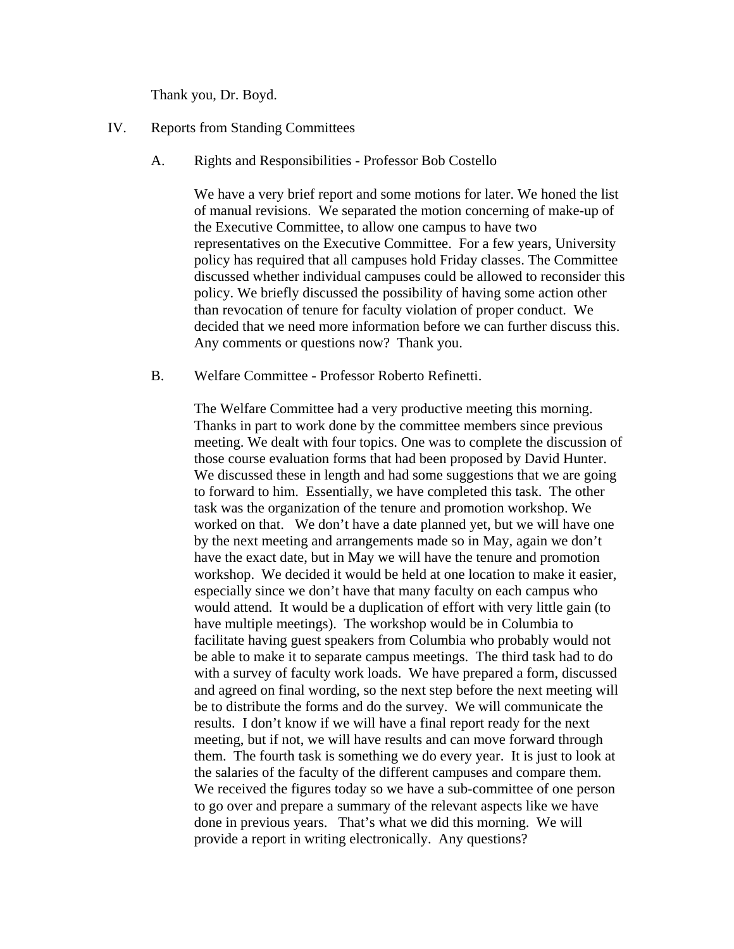Thank you, Dr. Boyd.

- IV. Reports from Standing Committees
	- A. Rights and Responsibilities Professor Bob Costello

We have a very brief report and some motions for later. We honed the list of manual revisions. We separated the motion concerning of make-up of the Executive Committee, to allow one campus to have two representatives on the Executive Committee. For a few years, University policy has required that all campuses hold Friday classes. The Committee discussed whether individual campuses could be allowed to reconsider this policy. We briefly discussed the possibility of having some action other than revocation of tenure for faculty violation of proper conduct. We decided that we need more information before we can further discuss this. Any comments or questions now? Thank you.

B. Welfare Committee - Professor Roberto Refinetti.

The Welfare Committee had a very productive meeting this morning. Thanks in part to work done by the committee members since previous meeting. We dealt with four topics. One was to complete the discussion of those course evaluation forms that had been proposed by David Hunter. We discussed these in length and had some suggestions that we are going to forward to him. Essentially, we have completed this task. The other task was the organization of the tenure and promotion workshop. We worked on that. We don't have a date planned yet, but we will have one by the next meeting and arrangements made so in May, again we don't have the exact date, but in May we will have the tenure and promotion workshop. We decided it would be held at one location to make it easier, especially since we don't have that many faculty on each campus who would attend. It would be a duplication of effort with very little gain (to have multiple meetings). The workshop would be in Columbia to facilitate having guest speakers from Columbia who probably would not be able to make it to separate campus meetings. The third task had to do with a survey of faculty work loads. We have prepared a form, discussed and agreed on final wording, so the next step before the next meeting will be to distribute the forms and do the survey. We will communicate the results. I don't know if we will have a final report ready for the next meeting, but if not, we will have results and can move forward through them. The fourth task is something we do every year. It is just to look at the salaries of the faculty of the different campuses and compare them. We received the figures today so we have a sub-committee of one person to go over and prepare a summary of the relevant aspects like we have done in previous years. That's what we did this morning. We will provide a report in writing electronically. Any questions?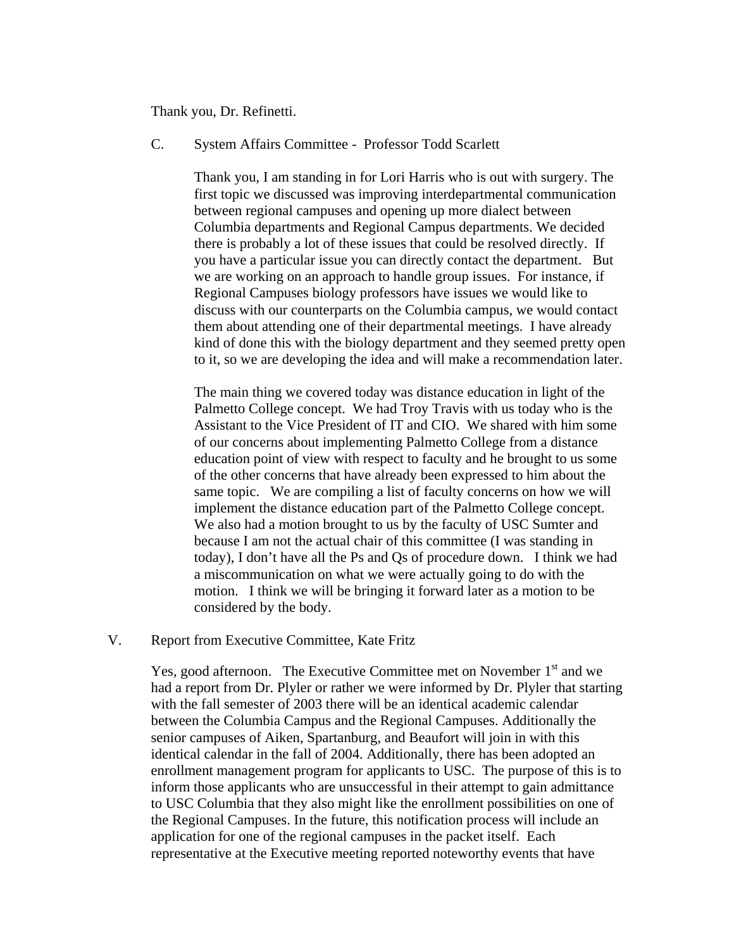Thank you, Dr. Refinetti.

## C. System Affairs Committee - Professor Todd Scarlett

Thank you, I am standing in for Lori Harris who is out with surgery. The first topic we discussed was improving interdepartmental communication between regional campuses and opening up more dialect between Columbia departments and Regional Campus departments. We decided there is probably a lot of these issues that could be resolved directly. If you have a particular issue you can directly contact the department. But we are working on an approach to handle group issues. For instance, if Regional Campuses biology professors have issues we would like to discuss with our counterparts on the Columbia campus, we would contact them about attending one of their departmental meetings. I have already kind of done this with the biology department and they seemed pretty open to it, so we are developing the idea and will make a recommendation later.

The main thing we covered today was distance education in light of the Palmetto College concept. We had Troy Travis with us today who is the Assistant to the Vice President of IT and CIO. We shared with him some of our concerns about implementing Palmetto College from a distance education point of view with respect to faculty and he brought to us some of the other concerns that have already been expressed to him about the same topic. We are compiling a list of faculty concerns on how we will implement the distance education part of the Palmetto College concept. We also had a motion brought to us by the faculty of USC Sumter and because I am not the actual chair of this committee (I was standing in today), I don't have all the Ps and Qs of procedure down. I think we had a miscommunication on what we were actually going to do with the motion. I think we will be bringing it forward later as a motion to be considered by the body.

### V. Report from Executive Committee, Kate Fritz

Yes, good afternoon. The Executive Committee met on November  $1<sup>st</sup>$  and we had a report from Dr. Plyler or rather we were informed by Dr. Plyler that starting with the fall semester of 2003 there will be an identical academic calendar between the Columbia Campus and the Regional Campuses. Additionally the senior campuses of Aiken, Spartanburg, and Beaufort will join in with this identical calendar in the fall of 2004. Additionally, there has been adopted an enrollment management program for applicants to USC. The purpose of this is to inform those applicants who are unsuccessful in their attempt to gain admittance to USC Columbia that they also might like the enrollment possibilities on one of the Regional Campuses. In the future, this notification process will include an application for one of the regional campuses in the packet itself. Each representative at the Executive meeting reported noteworthy events that have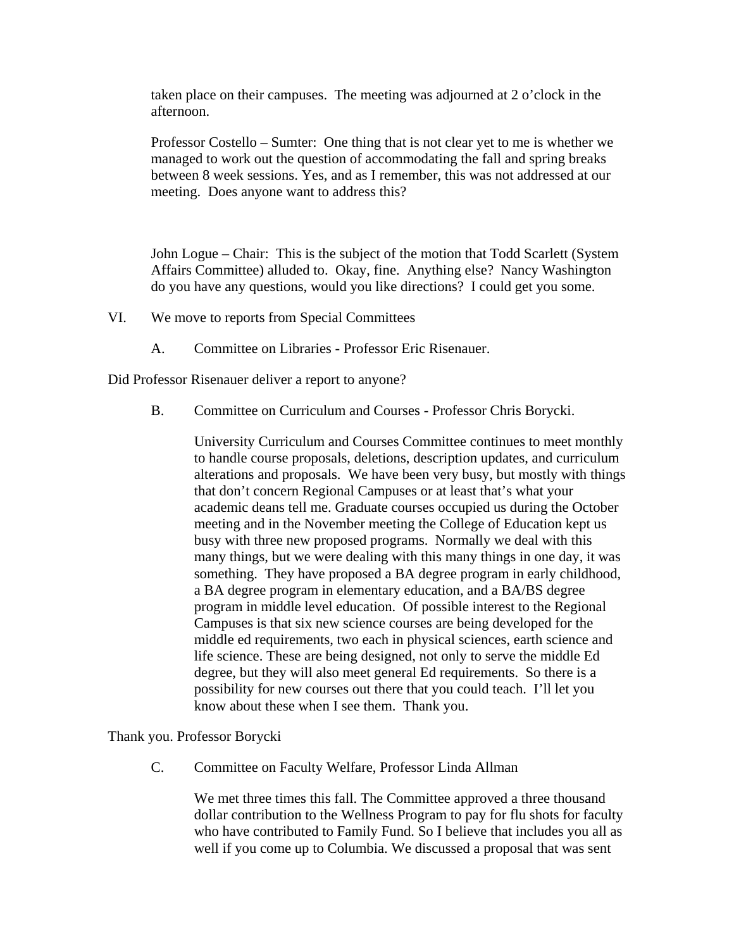taken place on their campuses. The meeting was adjourned at 2 o'clock in the afternoon.

Professor Costello – Sumter: One thing that is not clear yet to me is whether we managed to work out the question of accommodating the fall and spring breaks between 8 week sessions. Yes, and as I remember, this was not addressed at our meeting. Does anyone want to address this?

John Logue – Chair: This is the subject of the motion that Todd Scarlett (System Affairs Committee) alluded to. Okay, fine. Anything else? Nancy Washington do you have any questions, would you like directions? I could get you some.

- VI. We move to reports from Special Committees
	- A. Committee on Libraries Professor Eric Risenauer.

Did Professor Risenauer deliver a report to anyone?

B. Committee on Curriculum and Courses - Professor Chris Borycki.

University Curriculum and Courses Committee continues to meet monthly to handle course proposals, deletions, description updates, and curriculum alterations and proposals. We have been very busy, but mostly with things that don't concern Regional Campuses or at least that's what your academic deans tell me. Graduate courses occupied us during the October meeting and in the November meeting the College of Education kept us busy with three new proposed programs. Normally we deal with this many things, but we were dealing with this many things in one day, it was something. They have proposed a BA degree program in early childhood, a BA degree program in elementary education, and a BA/BS degree program in middle level education. Of possible interest to the Regional Campuses is that six new science courses are being developed for the middle ed requirements, two each in physical sciences, earth science and life science. These are being designed, not only to serve the middle Ed degree, but they will also meet general Ed requirements. So there is a possibility for new courses out there that you could teach. I'll let you know about these when I see them. Thank you.

Thank you. Professor Borycki

C. Committee on Faculty Welfare, Professor Linda Allman

We met three times this fall. The Committee approved a three thousand dollar contribution to the Wellness Program to pay for flu shots for faculty who have contributed to Family Fund. So I believe that includes you all as well if you come up to Columbia. We discussed a proposal that was sent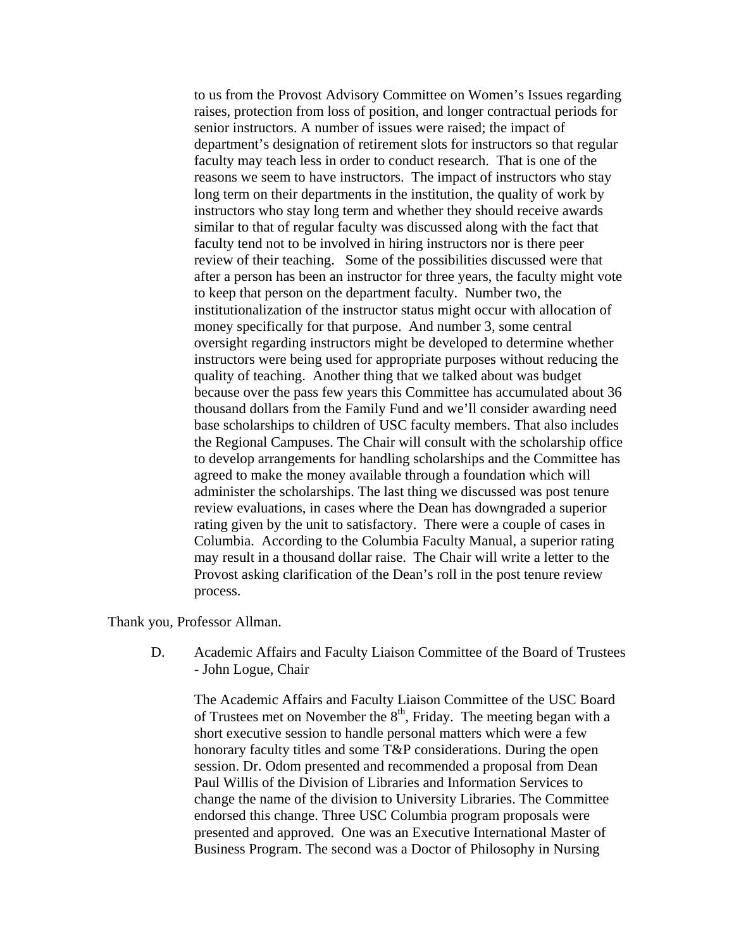to us from the Provost Advisory Committee on Women's Issues regarding raises, protection from loss of position, and longer contractual periods for senior instructors. A number of issues were raised; the impact of department's designation of retirement slots for instructors so that regular faculty may teach less in order to conduct research. That is one of the reasons we seem to have instructors. The impact of instructors who stay long term on their departments in the institution, the quality of work by instructors who stay long term and whether they should receive awards similar to that of regular faculty was discussed along with the fact that faculty tend not to be involved in hiring instructors nor is there peer review of their teaching. Some of the possibilities discussed were that after a person has been an instructor for three years, the faculty might vote to keep that person on the department faculty. Number two, the institutionalization of the instructor status might occur with allocation of money specifically for that purpose. And number 3, some central oversight regarding instructors might be developed to determine whether instructors were being used for appropriate purposes without reducing the quality of teaching. Another thing that we talked about was budget because over the pass few years this Committee has accumulated about 36 thousand dollars from the Family Fund and we'll consider awarding need base scholarships to children of USC faculty members. That also includes the Regional Campuses. The Chair will consult with the scholarship office to develop arrangements for handling scholarships and the Committee has agreed to make the money available through a foundation which will administer the scholarships. The last thing we discussed was post tenure review evaluations, in cases where the Dean has downgraded a superior rating given by the unit to satisfactory. There were a couple of cases in Columbia. According to the Columbia Faculty Manual, a superior rating may result in a thousand dollar raise. The Chair will write a letter to the Provost asking clarification of the Dean's roll in the post tenure review process.

Thank you, Professor Allman.

D. Academic Affairs and Faculty Liaison Committee of the Board of Trustees - John Logue, Chair

The Academic Affairs and Faculty Liaison Committee of the USC Board of Trustees met on November the  $8<sup>th</sup>$ , Friday. The meeting began with a short executive session to handle personal matters which were a few honorary faculty titles and some T&P considerations. During the open session. Dr. Odom presented and recommended a proposal from Dean Paul Willis of the Division of Libraries and Information Services to change the name of the division to University Libraries. The Committee endorsed this change. Three USC Columbia program proposals were presented and approved. One was an Executive International Master of Business Program. The second was a Doctor of Philosophy in Nursing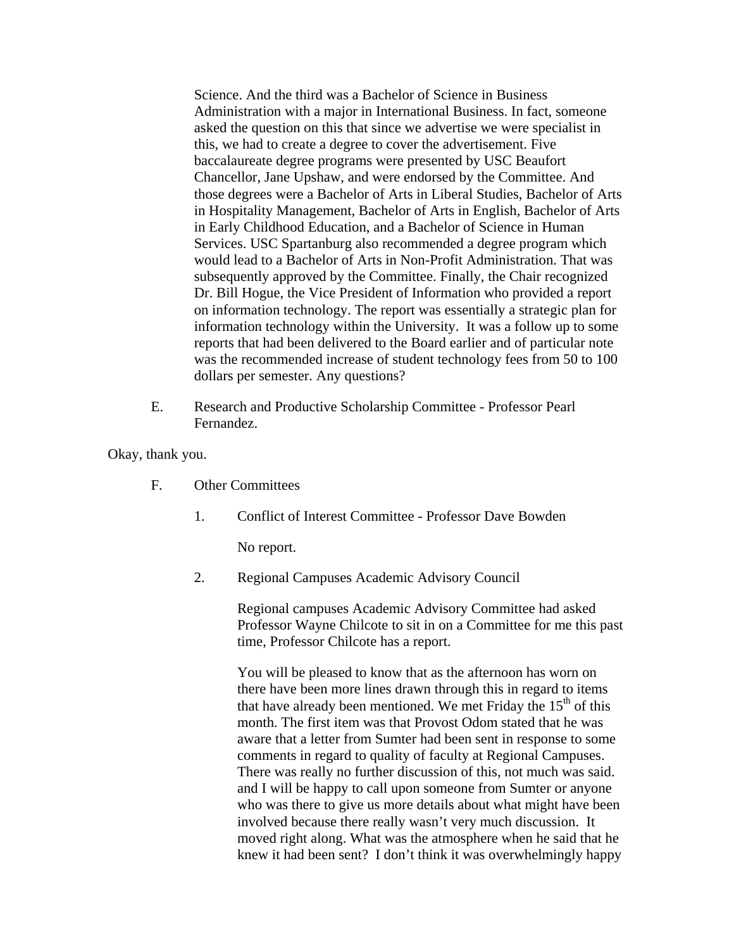Science. And the third was a Bachelor of Science in Business Administration with a major in International Business. In fact, someone asked the question on this that since we advertise we were specialist in this, we had to create a degree to cover the advertisement. Five baccalaureate degree programs were presented by USC Beaufort Chancellor, Jane Upshaw, and were endorsed by the Committee. And those degrees were a Bachelor of Arts in Liberal Studies, Bachelor of Arts in Hospitality Management, Bachelor of Arts in English, Bachelor of Arts in Early Childhood Education, and a Bachelor of Science in Human Services. USC Spartanburg also recommended a degree program which would lead to a Bachelor of Arts in Non-Profit Administration. That was subsequently approved by the Committee. Finally, the Chair recognized Dr. Bill Hogue, the Vice President of Information who provided a report on information technology. The report was essentially a strategic plan for information technology within the University. It was a follow up to some reports that had been delivered to the Board earlier and of particular note was the recommended increase of student technology fees from 50 to 100 dollars per semester. Any questions?

E. Research and Productive Scholarship Committee - Professor Pearl Fernandez.

Okay, thank you.

- F. Other Committees
	- 1. Conflict of Interest Committee Professor Dave Bowden

No report.

2. Regional Campuses Academic Advisory Council

Regional campuses Academic Advisory Committee had asked Professor Wayne Chilcote to sit in on a Committee for me this past time, Professor Chilcote has a report.

You will be pleased to know that as the afternoon has worn on there have been more lines drawn through this in regard to items that have already been mentioned. We met Friday the  $15<sup>th</sup>$  of this month. The first item was that Provost Odom stated that he was aware that a letter from Sumter had been sent in response to some comments in regard to quality of faculty at Regional Campuses. There was really no further discussion of this, not much was said. and I will be happy to call upon someone from Sumter or anyone who was there to give us more details about what might have been involved because there really wasn't very much discussion. It moved right along. What was the atmosphere when he said that he knew it had been sent? I don't think it was overwhelmingly happy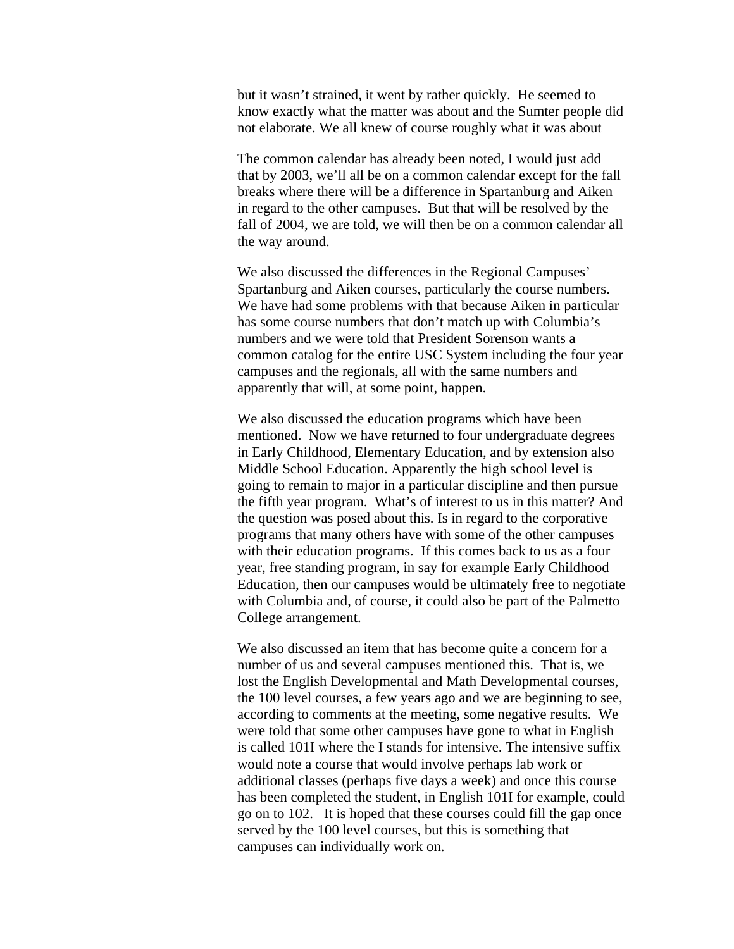but it wasn't strained, it went by rather quickly. He seemed to know exactly what the matter was about and the Sumter people did not elaborate. We all knew of course roughly what it was about

The common calendar has already been noted, I would just add that by 2003, we'll all be on a common calendar except for the fall breaks where there will be a difference in Spartanburg and Aiken in regard to the other campuses. But that will be resolved by the fall of 2004, we are told, we will then be on a common calendar all the way around.

We also discussed the differences in the Regional Campuses' Spartanburg and Aiken courses, particularly the course numbers. We have had some problems with that because Aiken in particular has some course numbers that don't match up with Columbia's numbers and we were told that President Sorenson wants a common catalog for the entire USC System including the four year campuses and the regionals, all with the same numbers and apparently that will, at some point, happen.

We also discussed the education programs which have been mentioned. Now we have returned to four undergraduate degrees in Early Childhood, Elementary Education, and by extension also Middle School Education. Apparently the high school level is going to remain to major in a particular discipline and then pursue the fifth year program. What's of interest to us in this matter? And the question was posed about this. Is in regard to the corporative programs that many others have with some of the other campuses with their education programs. If this comes back to us as a four year, free standing program, in say for example Early Childhood Education, then our campuses would be ultimately free to negotiate with Columbia and, of course, it could also be part of the Palmetto College arrangement.

We also discussed an item that has become quite a concern for a number of us and several campuses mentioned this. That is, we lost the English Developmental and Math Developmental courses, the 100 level courses, a few years ago and we are beginning to see, according to comments at the meeting, some negative results. We were told that some other campuses have gone to what in English is called 101I where the I stands for intensive. The intensive suffix would note a course that would involve perhaps lab work or additional classes (perhaps five days a week) and once this course has been completed the student, in English 101I for example, could go on to 102. It is hoped that these courses could fill the gap once served by the 100 level courses, but this is something that campuses can individually work on.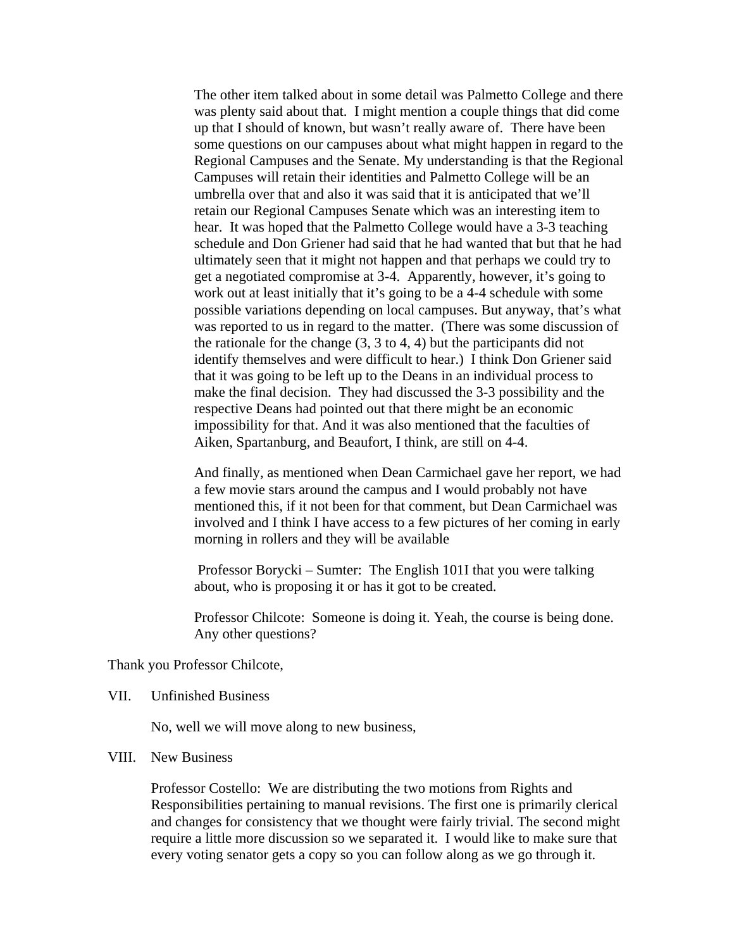The other item talked about in some detail was Palmetto College and there was plenty said about that. I might mention a couple things that did come up that I should of known, but wasn't really aware of. There have been some questions on our campuses about what might happen in regard to the Regional Campuses and the Senate. My understanding is that the Regional Campuses will retain their identities and Palmetto College will be an umbrella over that and also it was said that it is anticipated that we'll retain our Regional Campuses Senate which was an interesting item to hear. It was hoped that the Palmetto College would have a 3-3 teaching schedule and Don Griener had said that he had wanted that but that he had ultimately seen that it might not happen and that perhaps we could try to get a negotiated compromise at 3-4. Apparently, however, it's going to work out at least initially that it's going to be a 4-4 schedule with some possible variations depending on local campuses. But anyway, that's what was reported to us in regard to the matter. (There was some discussion of the rationale for the change  $(3, 3 \text{ to } 4, 4)$  but the participants did not identify themselves and were difficult to hear.) I think Don Griener said that it was going to be left up to the Deans in an individual process to make the final decision. They had discussed the 3-3 possibility and the respective Deans had pointed out that there might be an economic impossibility for that. And it was also mentioned that the faculties of Aiken, Spartanburg, and Beaufort, I think, are still on 4-4.

And finally, as mentioned when Dean Carmichael gave her report, we had a few movie stars around the campus and I would probably not have mentioned this, if it not been for that comment, but Dean Carmichael was involved and I think I have access to a few pictures of her coming in early morning in rollers and they will be available

Professor Borycki – Sumter: The English 101I that you were talking about, who is proposing it or has it got to be created.

Professor Chilcote: Someone is doing it. Yeah, the course is being done. Any other questions?

Thank you Professor Chilcote,

VII. Unfinished Business

No, well we will move along to new business,

### VIII. New Business

Professor Costello: We are distributing the two motions from Rights and Responsibilities pertaining to manual revisions. The first one is primarily clerical and changes for consistency that we thought were fairly trivial. The second might require a little more discussion so we separated it. I would like to make sure that every voting senator gets a copy so you can follow along as we go through it.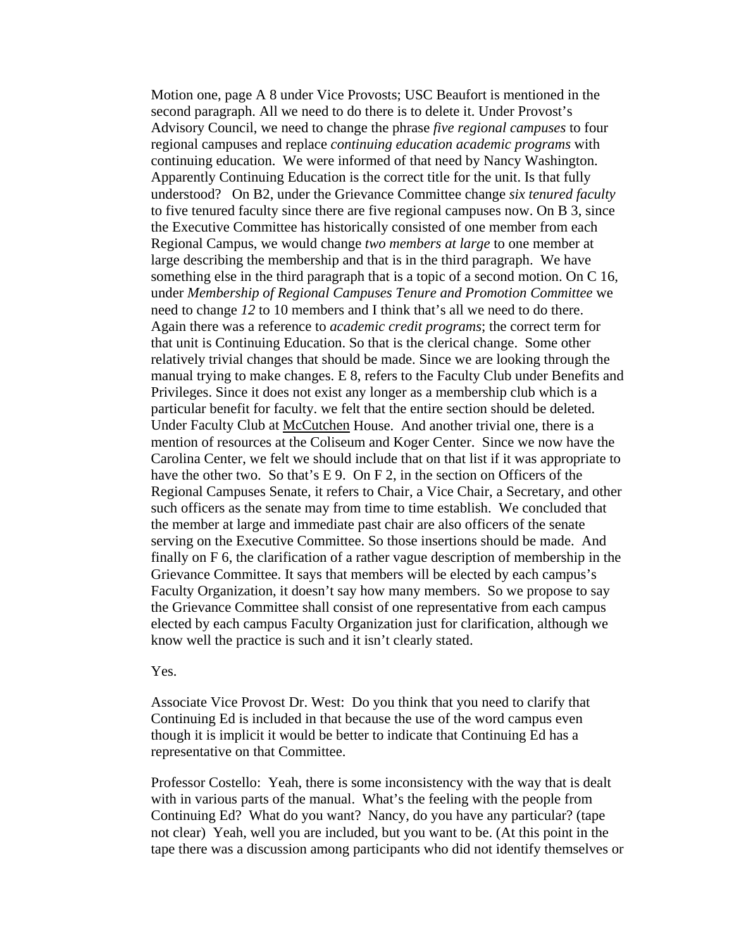Motion one, page A 8 under Vice Provosts; USC Beaufort is mentioned in the second paragraph. All we need to do there is to delete it. Under Provost's Advisory Council, we need to change the phrase *five regional campuses* to four regional campuses and replace *continuing education academic programs* with continuing education. We were informed of that need by Nancy Washington. Apparently Continuing Education is the correct title for the unit. Is that fully understood? On B2, under the Grievance Committee change *six tenured faculty* to five tenured faculty since there are five regional campuses now. On B 3, since the Executive Committee has historically consisted of one member from each Regional Campus, we would change *two members at large* to one member at large describing the membership and that is in the third paragraph. We have something else in the third paragraph that is a topic of a second motion. On C 16, under *Membership of Regional Campuses Tenure and Promotion Committee* we need to change *12* to 10 members and I think that's all we need to do there. Again there was a reference to *academic credit programs*; the correct term for that unit is Continuing Education. So that is the clerical change. Some other relatively trivial changes that should be made. Since we are looking through the manual trying to make changes. E 8, refers to the Faculty Club under Benefits and Privileges. Since it does not exist any longer as a membership club which is a particular benefit for faculty. we felt that the entire section should be deleted. Under Faculty Club at McCutchen House. And another trivial one, there is a mention of resources at the Coliseum and Koger Center. Since we now have the Carolina Center, we felt we should include that on that list if it was appropriate to have the other two. So that's E 9. On F 2, in the section on Officers of the Regional Campuses Senate, it refers to Chair, a Vice Chair, a Secretary, and other such officers as the senate may from time to time establish. We concluded that the member at large and immediate past chair are also officers of the senate serving on the Executive Committee. So those insertions should be made. And finally on F 6, the clarification of a rather vague description of membership in the Grievance Committee. It says that members will be elected by each campus's Faculty Organization, it doesn't say how many members. So we propose to say the Grievance Committee shall consist of one representative from each campus elected by each campus Faculty Organization just for clarification, although we know well the practice is such and it isn't clearly stated.

Yes.

Associate Vice Provost Dr. West: Do you think that you need to clarify that Continuing Ed is included in that because the use of the word campus even though it is implicit it would be better to indicate that Continuing Ed has a representative on that Committee.

Professor Costello: Yeah, there is some inconsistency with the way that is dealt with in various parts of the manual. What's the feeling with the people from Continuing Ed? What do you want? Nancy, do you have any particular? (tape not clear) Yeah, well you are included, but you want to be. (At this point in the tape there was a discussion among participants who did not identify themselves or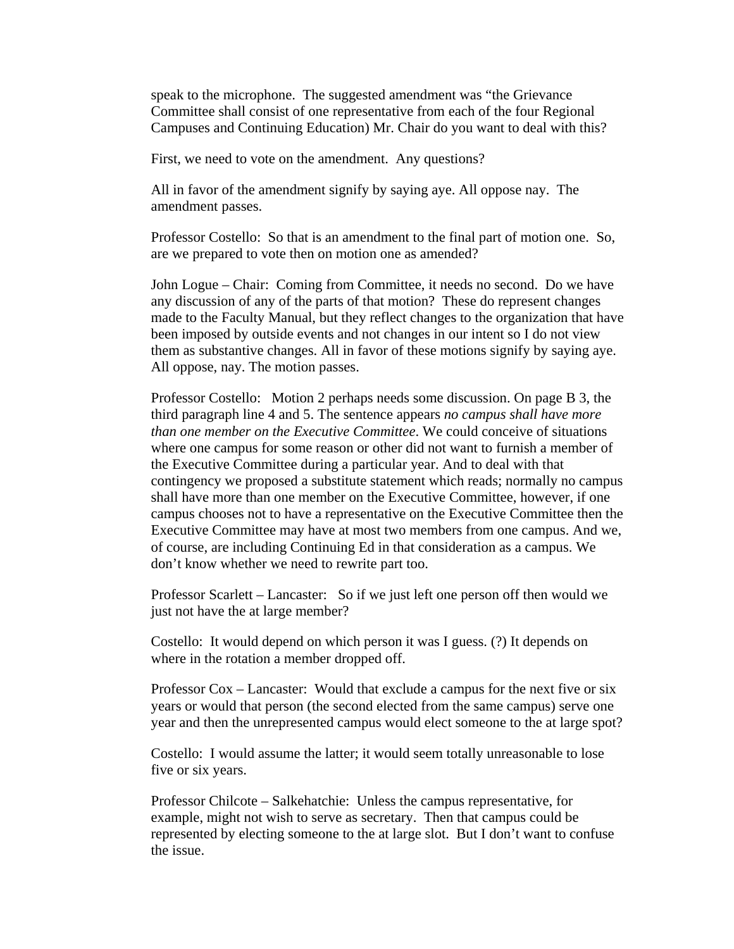speak to the microphone. The suggested amendment was "the Grievance Committee shall consist of one representative from each of the four Regional Campuses and Continuing Education) Mr. Chair do you want to deal with this?

First, we need to vote on the amendment. Any questions?

All in favor of the amendment signify by saying aye. All oppose nay. The amendment passes.

Professor Costello: So that is an amendment to the final part of motion one. So, are we prepared to vote then on motion one as amended?

John Logue – Chair: Coming from Committee, it needs no second. Do we have any discussion of any of the parts of that motion? These do represent changes made to the Faculty Manual, but they reflect changes to the organization that have been imposed by outside events and not changes in our intent so I do not view them as substantive changes. All in favor of these motions signify by saying aye. All oppose, nay. The motion passes.

Professor Costello: Motion 2 perhaps needs some discussion. On page B 3, the third paragraph line 4 and 5. The sentence appears *no campus shall have more than one member on the Executive Committee*. We could conceive of situations where one campus for some reason or other did not want to furnish a member of the Executive Committee during a particular year. And to deal with that contingency we proposed a substitute statement which reads; normally no campus shall have more than one member on the Executive Committee, however, if one campus chooses not to have a representative on the Executive Committee then the Executive Committee may have at most two members from one campus. And we, of course, are including Continuing Ed in that consideration as a campus. We don't know whether we need to rewrite part too.

Professor Scarlett – Lancaster: So if we just left one person off then would we just not have the at large member?

Costello: It would depend on which person it was I guess. (?) It depends on where in the rotation a member dropped off.

Professor Cox – Lancaster: Would that exclude a campus for the next five or six years or would that person (the second elected from the same campus) serve one year and then the unrepresented campus would elect someone to the at large spot?

Costello: I would assume the latter; it would seem totally unreasonable to lose five or six years.

Professor Chilcote – Salkehatchie: Unless the campus representative, for example, might not wish to serve as secretary. Then that campus could be represented by electing someone to the at large slot. But I don't want to confuse the issue.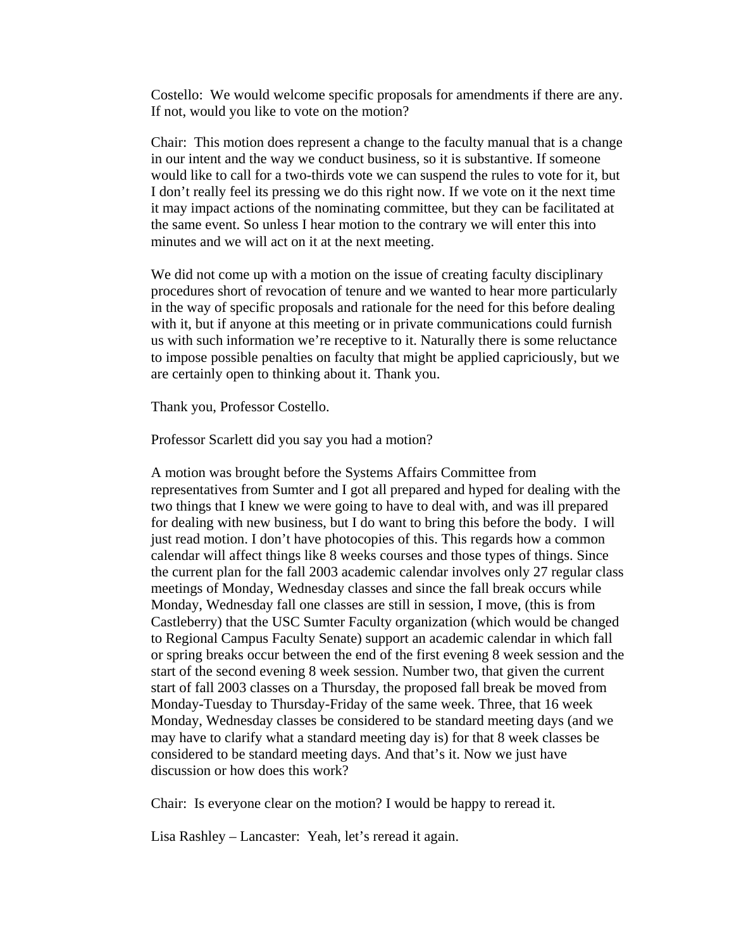Costello: We would welcome specific proposals for amendments if there are any. If not, would you like to vote on the motion?

Chair: This motion does represent a change to the faculty manual that is a change in our intent and the way we conduct business, so it is substantive. If someone would like to call for a two-thirds vote we can suspend the rules to vote for it, but I don't really feel its pressing we do this right now. If we vote on it the next time it may impact actions of the nominating committee, but they can be facilitated at the same event. So unless I hear motion to the contrary we will enter this into minutes and we will act on it at the next meeting.

We did not come up with a motion on the issue of creating faculty disciplinary procedures short of revocation of tenure and we wanted to hear more particularly in the way of specific proposals and rationale for the need for this before dealing with it, but if anyone at this meeting or in private communications could furnish us with such information we're receptive to it. Naturally there is some reluctance to impose possible penalties on faculty that might be applied capriciously, but we are certainly open to thinking about it. Thank you.

Thank you, Professor Costello.

Professor Scarlett did you say you had a motion?

A motion was brought before the Systems Affairs Committee from representatives from Sumter and I got all prepared and hyped for dealing with the two things that I knew we were going to have to deal with, and was ill prepared for dealing with new business, but I do want to bring this before the body. I will just read motion. I don't have photocopies of this. This regards how a common calendar will affect things like 8 weeks courses and those types of things. Since the current plan for the fall 2003 academic calendar involves only 27 regular class meetings of Monday, Wednesday classes and since the fall break occurs while Monday, Wednesday fall one classes are still in session, I move, (this is from Castleberry) that the USC Sumter Faculty organization (which would be changed to Regional Campus Faculty Senate) support an academic calendar in which fall or spring breaks occur between the end of the first evening 8 week session and the start of the second evening 8 week session. Number two, that given the current start of fall 2003 classes on a Thursday, the proposed fall break be moved from Monday-Tuesday to Thursday-Friday of the same week. Three, that 16 week Monday, Wednesday classes be considered to be standard meeting days (and we may have to clarify what a standard meeting day is) for that 8 week classes be considered to be standard meeting days. And that's it. Now we just have discussion or how does this work?

Chair: Is everyone clear on the motion? I would be happy to reread it.

Lisa Rashley – Lancaster: Yeah, let's reread it again.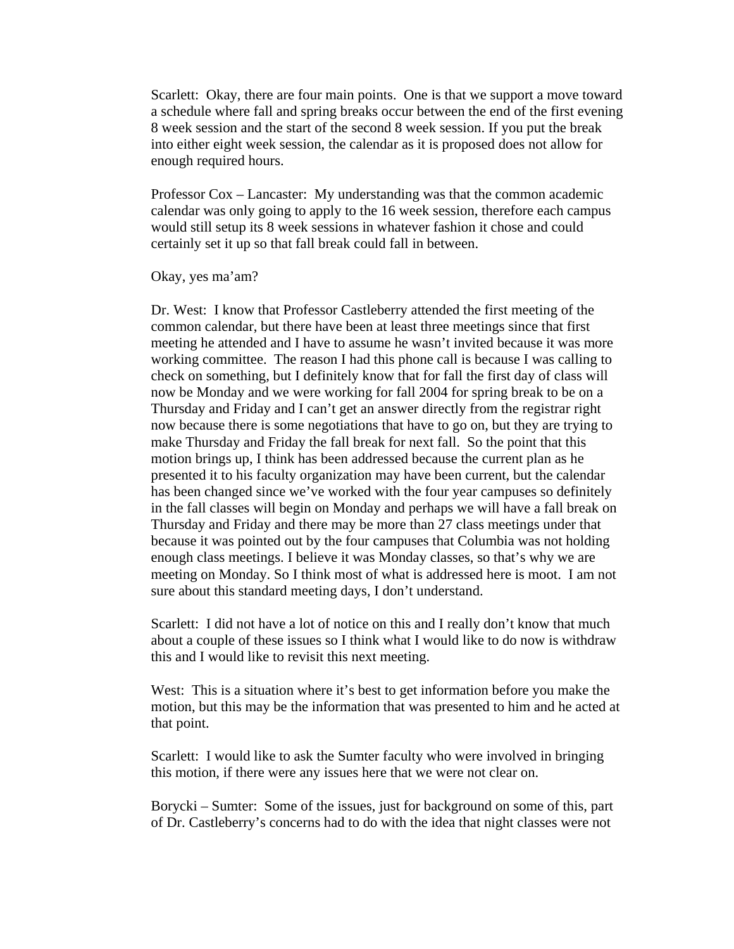Scarlett: Okay, there are four main points. One is that we support a move toward a schedule where fall and spring breaks occur between the end of the first evening 8 week session and the start of the second 8 week session. If you put the break into either eight week session, the calendar as it is proposed does not allow for enough required hours.

Professor Cox – Lancaster: My understanding was that the common academic calendar was only going to apply to the 16 week session, therefore each campus would still setup its 8 week sessions in whatever fashion it chose and could certainly set it up so that fall break could fall in between.

Okay, yes ma'am?

Dr. West: I know that Professor Castleberry attended the first meeting of the common calendar, but there have been at least three meetings since that first meeting he attended and I have to assume he wasn't invited because it was more working committee. The reason I had this phone call is because I was calling to check on something, but I definitely know that for fall the first day of class will now be Monday and we were working for fall 2004 for spring break to be on a Thursday and Friday and I can't get an answer directly from the registrar right now because there is some negotiations that have to go on, but they are trying to make Thursday and Friday the fall break for next fall. So the point that this motion brings up, I think has been addressed because the current plan as he presented it to his faculty organization may have been current, but the calendar has been changed since we've worked with the four year campuses so definitely in the fall classes will begin on Monday and perhaps we will have a fall break on Thursday and Friday and there may be more than 27 class meetings under that because it was pointed out by the four campuses that Columbia was not holding enough class meetings. I believe it was Monday classes, so that's why we are meeting on Monday. So I think most of what is addressed here is moot. I am not sure about this standard meeting days, I don't understand.

Scarlett: I did not have a lot of notice on this and I really don't know that much about a couple of these issues so I think what I would like to do now is withdraw this and I would like to revisit this next meeting.

West: This is a situation where it's best to get information before you make the motion, but this may be the information that was presented to him and he acted at that point.

Scarlett: I would like to ask the Sumter faculty who were involved in bringing this motion, if there were any issues here that we were not clear on.

Borycki – Sumter: Some of the issues, just for background on some of this, part of Dr. Castleberry's concerns had to do with the idea that night classes were not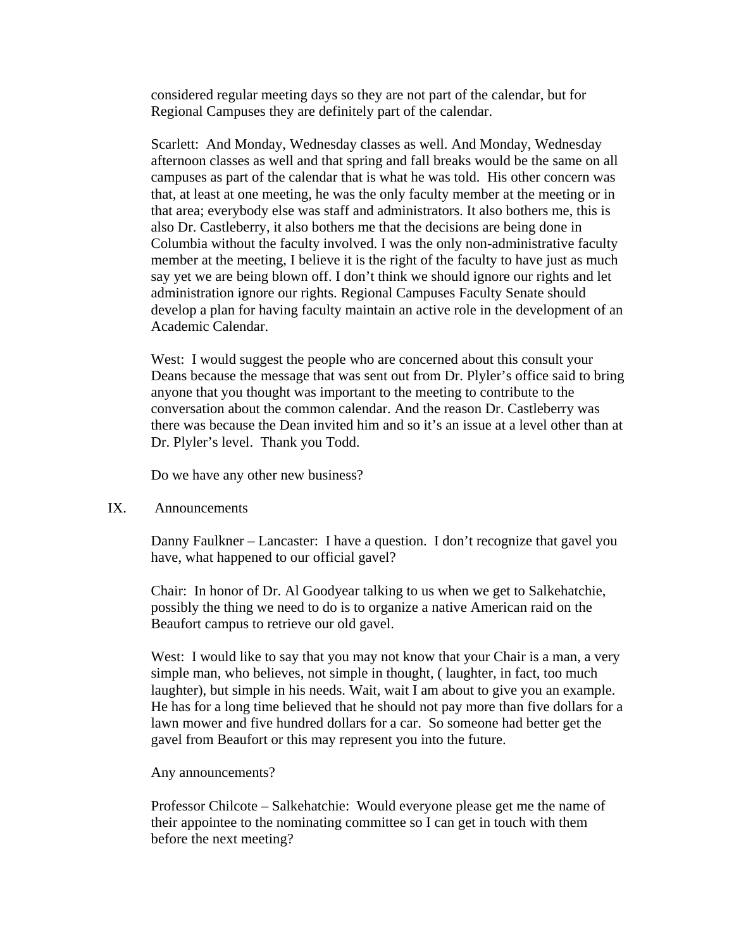considered regular meeting days so they are not part of the calendar, but for Regional Campuses they are definitely part of the calendar.

Scarlett: And Monday, Wednesday classes as well. And Monday, Wednesday afternoon classes as well and that spring and fall breaks would be the same on all campuses as part of the calendar that is what he was told. His other concern was that, at least at one meeting, he was the only faculty member at the meeting or in that area; everybody else was staff and administrators. It also bothers me, this is also Dr. Castleberry, it also bothers me that the decisions are being done in Columbia without the faculty involved. I was the only non-administrative faculty member at the meeting, I believe it is the right of the faculty to have just as much say yet we are being blown off. I don't think we should ignore our rights and let administration ignore our rights. Regional Campuses Faculty Senate should develop a plan for having faculty maintain an active role in the development of an Academic Calendar.

West: I would suggest the people who are concerned about this consult your Deans because the message that was sent out from Dr. Plyler's office said to bring anyone that you thought was important to the meeting to contribute to the conversation about the common calendar. And the reason Dr. Castleberry was there was because the Dean invited him and so it's an issue at a level other than at Dr. Plyler's level. Thank you Todd.

Do we have any other new business?

### IX. Announcements

Danny Faulkner – Lancaster: I have a question. I don't recognize that gavel you have, what happened to our official gavel?

Chair: In honor of Dr. Al Goodyear talking to us when we get to Salkehatchie, possibly the thing we need to do is to organize a native American raid on the Beaufort campus to retrieve our old gavel.

West: I would like to say that you may not know that your Chair is a man, a very simple man, who believes, not simple in thought, ( laughter, in fact, too much laughter), but simple in his needs. Wait, wait I am about to give you an example. He has for a long time believed that he should not pay more than five dollars for a lawn mower and five hundred dollars for a car. So someone had better get the gavel from Beaufort or this may represent you into the future.

### Any announcements?

Professor Chilcote – Salkehatchie: Would everyone please get me the name of their appointee to the nominating committee so I can get in touch with them before the next meeting?